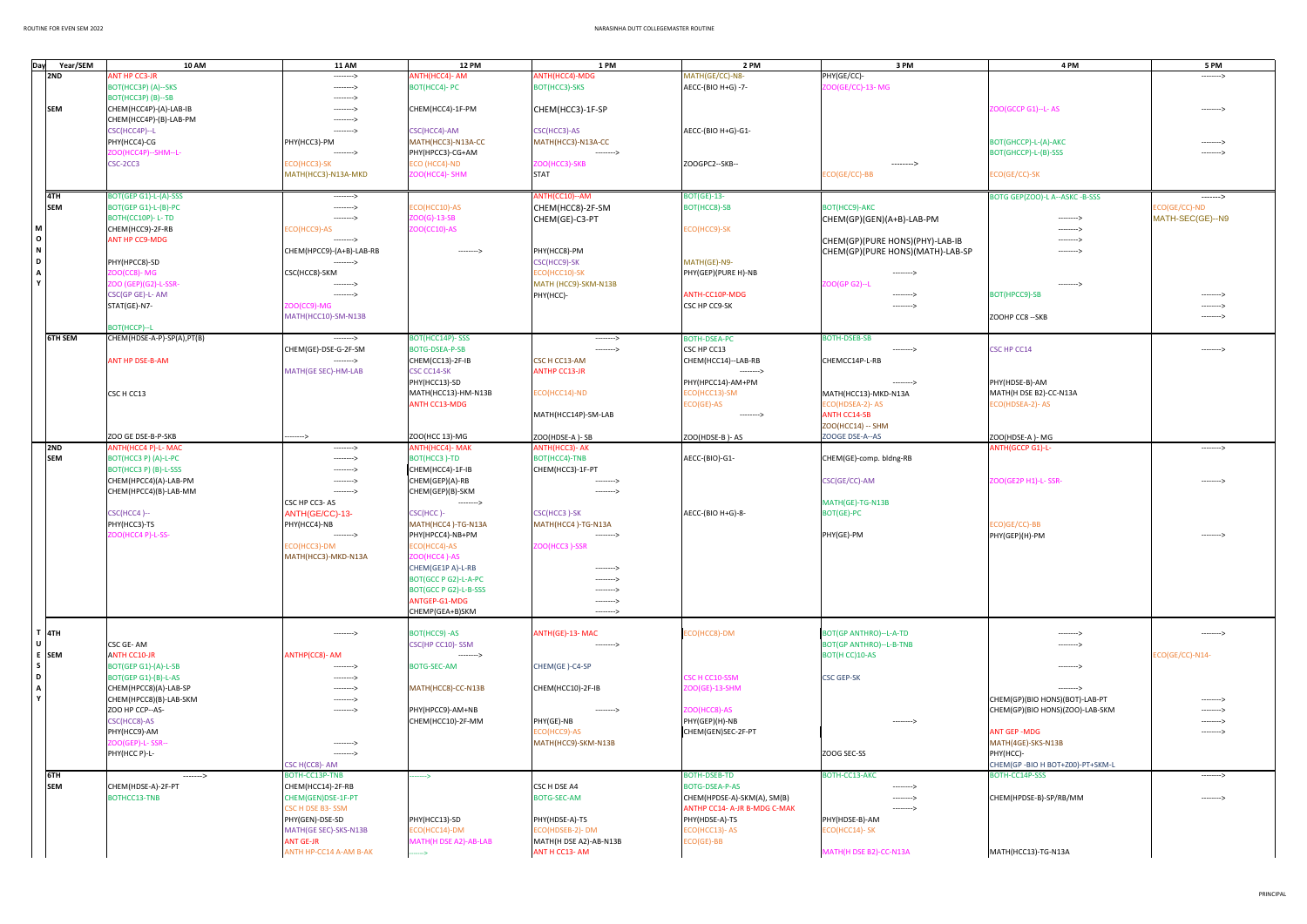| Day<br>Year/SEM<br><b>12 PM</b><br>1 PM<br>2 PM<br>3 PM<br>4 PM<br>5 PM<br><b>10 AM</b><br><b>11 AM</b><br><b>ANT HP CC3-JR</b><br>ANTH(HCC4)-MDG<br>MATH(GE/CC)-N8-<br>PHY(GE/CC)-<br>2ND<br>ANTH(HCC4)- AM<br>---------><br>---------><br>ZOO(GE/CC)-13- MG<br>BOT(HCC3P) (A)--SKS<br>BOT(HCC4)- PC<br>BOT(HCC3)-SKS<br>AECC-(BIO H+G) -7-<br>---------><br>BOT(HCC3P)(B)--SB<br>--------><br><b>SEM</b><br>ZOO(GCCP G1)--L-AS<br>CHEM(HCC4P)-(A)-LAB-IB<br>CHEM(HCC4)-1F-PM<br>CHEM(HCC3)-1F-SP<br>---------><br>---------><br>CHEM(HCC4P)-(B)-LAB-PM<br>---------><br>CSC(HCC4P)--L<br>CSC(HCC4)-AM<br>CSC(HCC3)-AS<br>AECC-(BIO H+G)-G1-<br>--------><br>PHY(HCC4)-CG<br>MATH(HCC3)-N13A-CC<br>PHY(HCC3)-PM<br>MATH(HCC3)-N13A-CC<br>BOT(GHCCP)-L-(A)-AKC<br>---------><br>ZOO(HCC4P)--SHM--L-<br>PHY(HPCC3)-CG+AM<br>BOT(GHCCP)-L-(B)-SSS<br>---------><br>---------><br>---------><br>CSC-2CC3<br>ECO (HCC4)-ND<br>ZOO(HCC3)-SKB<br>ZOOGPC2--SKB--<br>ECO(HCC3)-SK<br>--------><br>MATH(HCC3)-N13A-MKD<br>ZOO(HCC4)- SHM<br><b>STAT</b><br>ECO(GE/CC)-BB<br>ECO(GE/CC)-SK<br>4TH<br>BOT(GEP G1)-L-(A)-SSS<br>ANTH(CC10)--AM<br><b>BOT(GE)-13-</b><br>BOTG GEP(ZOO)-L A--ASKC -B-SSS<br>---------><br>-------><br><b>SEM</b><br>ECO(HCC10)-AS<br>BOT(HCC8)-SB<br>BOT(HCC9)-AKC<br>ECO(GE/CC)-ND<br>BOT(GEP G1)-L-(B)-PC<br>CHEM(HCC8)-2F-SM<br>---------><br>$ZOO(G)-13-SB$<br>MATH-SEC(GE)--N9<br>BOTH(CC10P)-L-TD<br>CHEM(GE)-C3-PT<br>CHEM(GP)(GEN)(A+B)-LAB-PM<br>---------><br>--------><br>M  <br>ZOO(CC10)-AS<br>CHEM(HCC9)-2F-RB<br><b>CO(HCC9)-AS</b><br>ECO(HCC9)-SK<br>---------><br>$\circ$<br><b>ANT HP CC9-MDG</b><br>CHEM(GP)(PURE HONS)(PHY)-LAB-IB<br>---------><br>---------><br>$\,$ N $\,$<br>CHEM(HPCC9)-(A+B)-LAB-RB<br>PHY(HCC8)-PM<br>CHEM(GP)(PURE HONS)(MATH)-LAB-SP<br>---------><br>--------><br>$\mathbf{D}$<br>CSC(HCC9)-SK<br>MATH(GE)-N9-<br>PHY(HPCC8)-SD<br>---------><br>$\mathbf{A}$<br><b>200(CC8)-MG</b><br>CSC(HCC8)-SKM<br>ECO(HCC10)-SK<br>PHY(GEP)(PURE H)-NB<br>---------><br>Y<br>ZOO (GEP)(G2)-L-SSR-<br>MATH (HCC9)-SKM-N13B<br>ZOO(GP G2)--L<br>--------><br>CSC(GP GE)-L-AM<br>PHY(HCC)-<br>ANTH-CC10P-MDG<br>BOT(HPCC9)-SB<br>---------><br>---------><br>STAT(GE)-N7-<br>200(CC9)-MG<br>CSC HP CC9-SK<br>---------><br>MATH(HCC10)-SM-N13B<br>ZOOHP CC8 -- SKB<br>---------><br><b>BOT(HCCP)--L</b><br><b>6TH SEM</b><br>CHEM(HDSE-A-P)-SP(A),PT(B)<br><b>BOT(HCC14P)-SSS</b><br><b>BOTH-DSEA-PC</b><br><b>BOTH-DSEB-SB</b><br>---------><br>---------><br>CHEM(GE)-DSE-G-2F-SM<br><b>BOTG-DSEA-P-SB</b><br>CSC HP CC13<br>CSC HP CC14<br>---------><br>---------><br>---------><br>ANT HP DSE-B-AM<br>CSC H CC13-AM<br>CHEMCC14P-L-RB<br>CHEM(CC13)-2F-IB<br>CHEM(HCC14) -- LAB-RB<br>---------><br><b>ANTHP CC13-JR</b><br>MATH(GE SEC)-HM-LAB<br>CSC CC14-SK<br>---------><br>PHY(HCC13)-SD<br>PHY(HDSE-B)-AM<br>PHY(HPCC14)-AM+PM<br>---------><br>CSC H CC13<br>MATH(HCC13)-HM-N13B<br>ECO(HCC13)-SM<br>MATH(HCC13)-MKD-N13A<br>MATH(H DSE B2)-CC-N13A<br>ECO(HCC14)-ND<br>ECO(GE)-AS<br><b>ANTH CC13-MDG</b><br>ECO(HDSEA-2)-AS<br>ECO(HDSEA-2)-AS<br><b>ANTH CC14-SB</b><br>MATH(HCC14P)-SM-LAB<br>--------><br><b>ZOO(HCC14) -- SHM</b><br>ZOO GE DSE-B-P-SKB<br>ZOO(HCC 13)-MG<br>ZOO(HDSE-A)-SB<br>ZOO(HDSE-B)-AS<br>ZOOGE DSE-A--AS<br>ZOO(HDSE-A)-MG<br>----><br>2ND<br>ANTH(HCC4 P)-L- MAC<br><b>ANTH(HCC4)- MAK</b><br>ANTH(HCC3)- AK<br><b>ANTH(GCCP G1)-L-</b><br>---------><br>---------><br><b>SEM</b><br>BOT(HCC3 P) (A)-L-PC<br>BOT(HCC3)-TD<br>BOT(HCC4)-TNB<br>AECC-(BIO)-G1-<br>CHEM(GE)-comp. bldng-RB<br>---------><br>BOT(HCC3 P) (B)-L-SSS<br>CHEM(HCC4)-1F-IB<br>CHEM(HCC3)-1F-PT<br>--------><br>CHEM(GEP)(A)-RB<br>CHEM(HPCC4)(A)-LAB-PM<br>CSC(GE/CC)-AM<br>ZOO(GE2P H1)-L- SSR·<br>---------><br>---------><br>---------><br>CHEM(GEP)(B)-SKM<br>CHEM(HPCC4)(B)-LAB-MM<br>---------><br>---------><br>CSC HP CC3-AS<br>MATH(GE)-TG-N13B<br>---------><br>CSC(HCC4)--<br>ANTH(GE/CC)-13-<br>CSC(HCC)-<br>CSC(HCC3)-SK<br>AECC-(BIO H+G)-8-<br><b>BOT(GE)-PC</b><br>PHY(HCC3)-TS<br>PHY(HCC4)-NB<br>MATH(HCC4)-TG-N13A<br>MATH(HCC4)-TG-N13A<br>ECO)GE/CC)-BB<br>PHY(GEP)(H)-PM<br>PHY(HPCC4)-NB+PM<br>DO(HCC4 P)-L-SS-<br>PHY(GE)-PM<br>---------><br>---------><br>---------><br>ZOO(HCC3)-SSR<br>ECO(HCC3)-DM<br>ECO(HCC4)-AS<br>ZOO(HCC4)-AS<br>MATH(HCC3)-MKD-N13A<br>CHEM(GE1P A)-L-RB<br>---------><br>BOT(GCC P G2)-L-A-PC<br>---------><br>BOT(GCC P G2)-L-B-SSS<br>--------><br>ANTGEP-G1-MDG<br>---------><br>CHEMP(GEA+B)SKM<br>---------><br>$T$ 4TH<br>ANTH(GE)-13-MAC<br>BOT(HCC9) -AS<br>ECO(HCC8)-DM<br>BOT(GP ANTHRO)--L-A-TD<br>---------><br>---------><br>---------><br>$\cup$<br>CSC GE-AM<br>CSC(HP CC10)-SSM<br>BOT(GP ANTHRO)--L-B-TNB<br>---------><br>--------><br>E SEM<br><b>ANTH CC10-JR</b><br>ANTHP(CC8)- AM<br>ECO(GE/CC)-N14-<br>BOT(H CC)10-AS<br>---------><br>s l<br>BOT(GEP G1)-(A)-L-SB<br>BOTG-SEC-AM<br>CHEM(GE)-C4-SP<br>---------><br>---------><br>D<br>CSC H CC10-SSM<br><b>CSC GEP-SK</b><br>BOT(GEP G1)-(B)-L-AS<br>---------><br>$\mathbf{A}$<br>CHEM(HPCC8)(A)-LAB-SP<br>CHEM(HCC10)-2F-IB<br>ZOO(GE)-13-SHM<br>MATH(HCC8)-CC-N13B<br>---------><br>---------><br>Y<br>CHEM(HPCC8)(B)-LAB-SKM<br>CHEM(GP)(BIO HONS)(BOT)-LAB-PT<br>---------><br>---------><br>ZOO HP CCP--AS-<br>PHY(HPCC9)-AM+NB<br>ZOO(HCC8)-AS<br>CHEM(GP)(BIO HONS)(ZOO)-LAB-SKM<br>--------><br>---------><br>CSC(HCC8)-AS<br>PHY(GE)-NB<br>CHEM(HCC10)-2F-MM<br>PHY(GEP)(H)-NB<br>---------><br>---------><br>PHY(HCC9)-AM<br>ECO(HCC9)-AS<br>ANT GEP -MDG<br>CHEM(GEN)SEC-2F-PT<br>---------><br>ZOO(GEP)-L-SSR--<br>MATH(HCC9)-SKM-N13B<br>MATH(4GE)-SKS-N13B<br>--------><br>ZOOG SEC-SS<br>PHY(HCC)-<br>PHY(HCC P)-L-<br>---------><br>CHEM(GP-BIO H BOT+Z00)-PT+SKM-L<br>CSC H(CC8)- AM<br>6TH<br>BOTH-DSEB-TD<br>BOTH-CC13-AKC<br>BOTH-CC14P-SSS<br>BOTH-CC13P-TNB<br>-------><br>----><br>---------><br><b>SEM</b><br>CSC H DSE A4<br>CHEM(HDSE-A)-2F-PT<br>BOTG-DSEA-P-AS<br>CHEM(HCC14)-2F-RB<br>---------><br>BOTHCC13-TNB<br>CHEM(GEN)DSE-1F-PT<br><b>BOTG-SEC-AM</b><br>CHEM(HPDSE-A)-SKM(A), SM(B)<br>CHEM(HPDSE-B)-SP/RB/MM<br>---------><br>---------><br>CSC H DSE B3-SSM<br>ANTHP CC14- A-JR B-MDG C-MAK<br>--------><br>PHY(HCC13)-SD<br>PHY(HDSE-A)-TS<br>PHY(HDSE-B)-AM<br>PHY(GEN)-DSE-SD<br>PHY(HDSE-A)-TS<br>ECO(HCC14)-SK<br>MATH(GE SEC)-SKS-N13B<br>ECO(HCC14)-DM<br>ECO(HDSEB-2)-DM<br>ECO(HCC13)-AS<br><b>ANT GE-JR</b><br>MATH(H DSE A2)-AB-LAB<br>MATH(H DSE A2)-AB-N13B<br>ECO(GE)-BB<br>ANTH HP-CC14 A-AM B-AK<br>MATH(H DSE B2)-CC-N13A<br>ANT H CC13-AM<br>MATH(HCC13)-TG-N13A<br>——> |  |  |  |  |  |
|---------------------------------------------------------------------------------------------------------------------------------------------------------------------------------------------------------------------------------------------------------------------------------------------------------------------------------------------------------------------------------------------------------------------------------------------------------------------------------------------------------------------------------------------------------------------------------------------------------------------------------------------------------------------------------------------------------------------------------------------------------------------------------------------------------------------------------------------------------------------------------------------------------------------------------------------------------------------------------------------------------------------------------------------------------------------------------------------------------------------------------------------------------------------------------------------------------------------------------------------------------------------------------------------------------------------------------------------------------------------------------------------------------------------------------------------------------------------------------------------------------------------------------------------------------------------------------------------------------------------------------------------------------------------------------------------------------------------------------------------------------------------------------------------------------------------------------------------------------------------------------------------------------------------------------------------------------------------------------------------------------------------------------------------------------------------------------------------------------------------------------------------------------------------------------------------------------------------------------------------------------------------------------------------------------------------------------------------------------------------------------------------------------------------------------------------------------------------------------------------------------------------------------------------------------------------------------------------------------------------------------------------------------------------------------------------------------------------------------------------------------------------------------------------------------------------------------------------------------------------------------------------------------------------------------------------------------------------------------------------------------------------------------------------------------------------------------------------------------------------------------------------------------------------------------------------------------------------------------------------------------------------------------------------------------------------------------------------------------------------------------------------------------------------------------------------------------------------------------------------------------------------------------------------------------------------------------------------------------------------------------------------------------------------------------------------------------------------------------------------------------------------------------------------------------------------------------------------------------------------------------------------------------------------------------------------------------------------------------------------------------------------------------------------------------------------------------------------------------------------------------------------------------------------------------------------------------------------------------------------------------------------------------------------------------------------------------------------------------------------------------------------------------------------------------------------------------------------------------------------------------------------------------------------------------------------------------------------------------------------------------------------------------------------------------------------------------------------------------------------------------------------------------------------------------------------------------------------------------------------------------------------------------------------------------------------------------------------------------------------------------------------------------------------------------------------------------------------------------------------------------------------------------------------------------------------------------------------------------------------------------------------------------------------------------------------------------------------------------------------------------------------------------------------------------------------------------------------------------------------------------------------------------------------------------------------------------------------------------------------------------------------------------------------------------------------------------------------------------------------------------------------------------------------------------------------------------------------------------------------------------------------------------------------------------------------------------------------------------------------------------------------------------------------------------------------------------------------------------------------------------------------------------------------------------------------------------------------------------------------------------------------------------------------------------------------------------------------------------------------------------------------------------------------------------------------------------------------------------------------------------------------------------------------------------------------------------------------------------------------------------------|--|--|--|--|--|
|                                                                                                                                                                                                                                                                                                                                                                                                                                                                                                                                                                                                                                                                                                                                                                                                                                                                                                                                                                                                                                                                                                                                                                                                                                                                                                                                                                                                                                                                                                                                                                                                                                                                                                                                                                                                                                                                                                                                                                                                                                                                                                                                                                                                                                                                                                                                                                                                                                                                                                                                                                                                                                                                                                                                                                                                                                                                                                                                                                                                                                                                                                                                                                                                                                                                                                                                                                                                                                                                                                                                                                                                                                                                                                                                                                                                                                                                                                                                                                                                                                                                                                                                                                                                                                                                                                                                                                                                                                                                                                                                                                                                                                                                                                                                                                                                                                                                                                                                                                                                                                                                                                                                                                                                                                                                                                                                                                                                                                                                                                                                                                                                                                                                                                                                                                                                                                                                                                                                                                                                                                                                                                                                                                                                                                                                                                                                                                                                                                                                                                                                                                                                                                       |  |  |  |  |  |
|                                                                                                                                                                                                                                                                                                                                                                                                                                                                                                                                                                                                                                                                                                                                                                                                                                                                                                                                                                                                                                                                                                                                                                                                                                                                                                                                                                                                                                                                                                                                                                                                                                                                                                                                                                                                                                                                                                                                                                                                                                                                                                                                                                                                                                                                                                                                                                                                                                                                                                                                                                                                                                                                                                                                                                                                                                                                                                                                                                                                                                                                                                                                                                                                                                                                                                                                                                                                                                                                                                                                                                                                                                                                                                                                                                                                                                                                                                                                                                                                                                                                                                                                                                                                                                                                                                                                                                                                                                                                                                                                                                                                                                                                                                                                                                                                                                                                                                                                                                                                                                                                                                                                                                                                                                                                                                                                                                                                                                                                                                                                                                                                                                                                                                                                                                                                                                                                                                                                                                                                                                                                                                                                                                                                                                                                                                                                                                                                                                                                                                                                                                                                                                       |  |  |  |  |  |
|                                                                                                                                                                                                                                                                                                                                                                                                                                                                                                                                                                                                                                                                                                                                                                                                                                                                                                                                                                                                                                                                                                                                                                                                                                                                                                                                                                                                                                                                                                                                                                                                                                                                                                                                                                                                                                                                                                                                                                                                                                                                                                                                                                                                                                                                                                                                                                                                                                                                                                                                                                                                                                                                                                                                                                                                                                                                                                                                                                                                                                                                                                                                                                                                                                                                                                                                                                                                                                                                                                                                                                                                                                                                                                                                                                                                                                                                                                                                                                                                                                                                                                                                                                                                                                                                                                                                                                                                                                                                                                                                                                                                                                                                                                                                                                                                                                                                                                                                                                                                                                                                                                                                                                                                                                                                                                                                                                                                                                                                                                                                                                                                                                                                                                                                                                                                                                                                                                                                                                                                                                                                                                                                                                                                                                                                                                                                                                                                                                                                                                                                                                                                                                       |  |  |  |  |  |
|                                                                                                                                                                                                                                                                                                                                                                                                                                                                                                                                                                                                                                                                                                                                                                                                                                                                                                                                                                                                                                                                                                                                                                                                                                                                                                                                                                                                                                                                                                                                                                                                                                                                                                                                                                                                                                                                                                                                                                                                                                                                                                                                                                                                                                                                                                                                                                                                                                                                                                                                                                                                                                                                                                                                                                                                                                                                                                                                                                                                                                                                                                                                                                                                                                                                                                                                                                                                                                                                                                                                                                                                                                                                                                                                                                                                                                                                                                                                                                                                                                                                                                                                                                                                                                                                                                                                                                                                                                                                                                                                                                                                                                                                                                                                                                                                                                                                                                                                                                                                                                                                                                                                                                                                                                                                                                                                                                                                                                                                                                                                                                                                                                                                                                                                                                                                                                                                                                                                                                                                                                                                                                                                                                                                                                                                                                                                                                                                                                                                                                                                                                                                                                       |  |  |  |  |  |
|                                                                                                                                                                                                                                                                                                                                                                                                                                                                                                                                                                                                                                                                                                                                                                                                                                                                                                                                                                                                                                                                                                                                                                                                                                                                                                                                                                                                                                                                                                                                                                                                                                                                                                                                                                                                                                                                                                                                                                                                                                                                                                                                                                                                                                                                                                                                                                                                                                                                                                                                                                                                                                                                                                                                                                                                                                                                                                                                                                                                                                                                                                                                                                                                                                                                                                                                                                                                                                                                                                                                                                                                                                                                                                                                                                                                                                                                                                                                                                                                                                                                                                                                                                                                                                                                                                                                                                                                                                                                                                                                                                                                                                                                                                                                                                                                                                                                                                                                                                                                                                                                                                                                                                                                                                                                                                                                                                                                                                                                                                                                                                                                                                                                                                                                                                                                                                                                                                                                                                                                                                                                                                                                                                                                                                                                                                                                                                                                                                                                                                                                                                                                                                       |  |  |  |  |  |
|                                                                                                                                                                                                                                                                                                                                                                                                                                                                                                                                                                                                                                                                                                                                                                                                                                                                                                                                                                                                                                                                                                                                                                                                                                                                                                                                                                                                                                                                                                                                                                                                                                                                                                                                                                                                                                                                                                                                                                                                                                                                                                                                                                                                                                                                                                                                                                                                                                                                                                                                                                                                                                                                                                                                                                                                                                                                                                                                                                                                                                                                                                                                                                                                                                                                                                                                                                                                                                                                                                                                                                                                                                                                                                                                                                                                                                                                                                                                                                                                                                                                                                                                                                                                                                                                                                                                                                                                                                                                                                                                                                                                                                                                                                                                                                                                                                                                                                                                                                                                                                                                                                                                                                                                                                                                                                                                                                                                                                                                                                                                                                                                                                                                                                                                                                                                                                                                                                                                                                                                                                                                                                                                                                                                                                                                                                                                                                                                                                                                                                                                                                                                                                       |  |  |  |  |  |
|                                                                                                                                                                                                                                                                                                                                                                                                                                                                                                                                                                                                                                                                                                                                                                                                                                                                                                                                                                                                                                                                                                                                                                                                                                                                                                                                                                                                                                                                                                                                                                                                                                                                                                                                                                                                                                                                                                                                                                                                                                                                                                                                                                                                                                                                                                                                                                                                                                                                                                                                                                                                                                                                                                                                                                                                                                                                                                                                                                                                                                                                                                                                                                                                                                                                                                                                                                                                                                                                                                                                                                                                                                                                                                                                                                                                                                                                                                                                                                                                                                                                                                                                                                                                                                                                                                                                                                                                                                                                                                                                                                                                                                                                                                                                                                                                                                                                                                                                                                                                                                                                                                                                                                                                                                                                                                                                                                                                                                                                                                                                                                                                                                                                                                                                                                                                                                                                                                                                                                                                                                                                                                                                                                                                                                                                                                                                                                                                                                                                                                                                                                                                                                       |  |  |  |  |  |
|                                                                                                                                                                                                                                                                                                                                                                                                                                                                                                                                                                                                                                                                                                                                                                                                                                                                                                                                                                                                                                                                                                                                                                                                                                                                                                                                                                                                                                                                                                                                                                                                                                                                                                                                                                                                                                                                                                                                                                                                                                                                                                                                                                                                                                                                                                                                                                                                                                                                                                                                                                                                                                                                                                                                                                                                                                                                                                                                                                                                                                                                                                                                                                                                                                                                                                                                                                                                                                                                                                                                                                                                                                                                                                                                                                                                                                                                                                                                                                                                                                                                                                                                                                                                                                                                                                                                                                                                                                                                                                                                                                                                                                                                                                                                                                                                                                                                                                                                                                                                                                                                                                                                                                                                                                                                                                                                                                                                                                                                                                                                                                                                                                                                                                                                                                                                                                                                                                                                                                                                                                                                                                                                                                                                                                                                                                                                                                                                                                                                                                                                                                                                                                       |  |  |  |  |  |
|                                                                                                                                                                                                                                                                                                                                                                                                                                                                                                                                                                                                                                                                                                                                                                                                                                                                                                                                                                                                                                                                                                                                                                                                                                                                                                                                                                                                                                                                                                                                                                                                                                                                                                                                                                                                                                                                                                                                                                                                                                                                                                                                                                                                                                                                                                                                                                                                                                                                                                                                                                                                                                                                                                                                                                                                                                                                                                                                                                                                                                                                                                                                                                                                                                                                                                                                                                                                                                                                                                                                                                                                                                                                                                                                                                                                                                                                                                                                                                                                                                                                                                                                                                                                                                                                                                                                                                                                                                                                                                                                                                                                                                                                                                                                                                                                                                                                                                                                                                                                                                                                                                                                                                                                                                                                                                                                                                                                                                                                                                                                                                                                                                                                                                                                                                                                                                                                                                                                                                                                                                                                                                                                                                                                                                                                                                                                                                                                                                                                                                                                                                                                                                       |  |  |  |  |  |
|                                                                                                                                                                                                                                                                                                                                                                                                                                                                                                                                                                                                                                                                                                                                                                                                                                                                                                                                                                                                                                                                                                                                                                                                                                                                                                                                                                                                                                                                                                                                                                                                                                                                                                                                                                                                                                                                                                                                                                                                                                                                                                                                                                                                                                                                                                                                                                                                                                                                                                                                                                                                                                                                                                                                                                                                                                                                                                                                                                                                                                                                                                                                                                                                                                                                                                                                                                                                                                                                                                                                                                                                                                                                                                                                                                                                                                                                                                                                                                                                                                                                                                                                                                                                                                                                                                                                                                                                                                                                                                                                                                                                                                                                                                                                                                                                                                                                                                                                                                                                                                                                                                                                                                                                                                                                                                                                                                                                                                                                                                                                                                                                                                                                                                                                                                                                                                                                                                                                                                                                                                                                                                                                                                                                                                                                                                                                                                                                                                                                                                                                                                                                                                       |  |  |  |  |  |
|                                                                                                                                                                                                                                                                                                                                                                                                                                                                                                                                                                                                                                                                                                                                                                                                                                                                                                                                                                                                                                                                                                                                                                                                                                                                                                                                                                                                                                                                                                                                                                                                                                                                                                                                                                                                                                                                                                                                                                                                                                                                                                                                                                                                                                                                                                                                                                                                                                                                                                                                                                                                                                                                                                                                                                                                                                                                                                                                                                                                                                                                                                                                                                                                                                                                                                                                                                                                                                                                                                                                                                                                                                                                                                                                                                                                                                                                                                                                                                                                                                                                                                                                                                                                                                                                                                                                                                                                                                                                                                                                                                                                                                                                                                                                                                                                                                                                                                                                                                                                                                                                                                                                                                                                                                                                                                                                                                                                                                                                                                                                                                                                                                                                                                                                                                                                                                                                                                                                                                                                                                                                                                                                                                                                                                                                                                                                                                                                                                                                                                                                                                                                                                       |  |  |  |  |  |
|                                                                                                                                                                                                                                                                                                                                                                                                                                                                                                                                                                                                                                                                                                                                                                                                                                                                                                                                                                                                                                                                                                                                                                                                                                                                                                                                                                                                                                                                                                                                                                                                                                                                                                                                                                                                                                                                                                                                                                                                                                                                                                                                                                                                                                                                                                                                                                                                                                                                                                                                                                                                                                                                                                                                                                                                                                                                                                                                                                                                                                                                                                                                                                                                                                                                                                                                                                                                                                                                                                                                                                                                                                                                                                                                                                                                                                                                                                                                                                                                                                                                                                                                                                                                                                                                                                                                                                                                                                                                                                                                                                                                                                                                                                                                                                                                                                                                                                                                                                                                                                                                                                                                                                                                                                                                                                                                                                                                                                                                                                                                                                                                                                                                                                                                                                                                                                                                                                                                                                                                                                                                                                                                                                                                                                                                                                                                                                                                                                                                                                                                                                                                                                       |  |  |  |  |  |
|                                                                                                                                                                                                                                                                                                                                                                                                                                                                                                                                                                                                                                                                                                                                                                                                                                                                                                                                                                                                                                                                                                                                                                                                                                                                                                                                                                                                                                                                                                                                                                                                                                                                                                                                                                                                                                                                                                                                                                                                                                                                                                                                                                                                                                                                                                                                                                                                                                                                                                                                                                                                                                                                                                                                                                                                                                                                                                                                                                                                                                                                                                                                                                                                                                                                                                                                                                                                                                                                                                                                                                                                                                                                                                                                                                                                                                                                                                                                                                                                                                                                                                                                                                                                                                                                                                                                                                                                                                                                                                                                                                                                                                                                                                                                                                                                                                                                                                                                                                                                                                                                                                                                                                                                                                                                                                                                                                                                                                                                                                                                                                                                                                                                                                                                                                                                                                                                                                                                                                                                                                                                                                                                                                                                                                                                                                                                                                                                                                                                                                                                                                                                                                       |  |  |  |  |  |
|                                                                                                                                                                                                                                                                                                                                                                                                                                                                                                                                                                                                                                                                                                                                                                                                                                                                                                                                                                                                                                                                                                                                                                                                                                                                                                                                                                                                                                                                                                                                                                                                                                                                                                                                                                                                                                                                                                                                                                                                                                                                                                                                                                                                                                                                                                                                                                                                                                                                                                                                                                                                                                                                                                                                                                                                                                                                                                                                                                                                                                                                                                                                                                                                                                                                                                                                                                                                                                                                                                                                                                                                                                                                                                                                                                                                                                                                                                                                                                                                                                                                                                                                                                                                                                                                                                                                                                                                                                                                                                                                                                                                                                                                                                                                                                                                                                                                                                                                                                                                                                                                                                                                                                                                                                                                                                                                                                                                                                                                                                                                                                                                                                                                                                                                                                                                                                                                                                                                                                                                                                                                                                                                                                                                                                                                                                                                                                                                                                                                                                                                                                                                                                       |  |  |  |  |  |
|                                                                                                                                                                                                                                                                                                                                                                                                                                                                                                                                                                                                                                                                                                                                                                                                                                                                                                                                                                                                                                                                                                                                                                                                                                                                                                                                                                                                                                                                                                                                                                                                                                                                                                                                                                                                                                                                                                                                                                                                                                                                                                                                                                                                                                                                                                                                                                                                                                                                                                                                                                                                                                                                                                                                                                                                                                                                                                                                                                                                                                                                                                                                                                                                                                                                                                                                                                                                                                                                                                                                                                                                                                                                                                                                                                                                                                                                                                                                                                                                                                                                                                                                                                                                                                                                                                                                                                                                                                                                                                                                                                                                                                                                                                                                                                                                                                                                                                                                                                                                                                                                                                                                                                                                                                                                                                                                                                                                                                                                                                                                                                                                                                                                                                                                                                                                                                                                                                                                                                                                                                                                                                                                                                                                                                                                                                                                                                                                                                                                                                                                                                                                                                       |  |  |  |  |  |
|                                                                                                                                                                                                                                                                                                                                                                                                                                                                                                                                                                                                                                                                                                                                                                                                                                                                                                                                                                                                                                                                                                                                                                                                                                                                                                                                                                                                                                                                                                                                                                                                                                                                                                                                                                                                                                                                                                                                                                                                                                                                                                                                                                                                                                                                                                                                                                                                                                                                                                                                                                                                                                                                                                                                                                                                                                                                                                                                                                                                                                                                                                                                                                                                                                                                                                                                                                                                                                                                                                                                                                                                                                                                                                                                                                                                                                                                                                                                                                                                                                                                                                                                                                                                                                                                                                                                                                                                                                                                                                                                                                                                                                                                                                                                                                                                                                                                                                                                                                                                                                                                                                                                                                                                                                                                                                                                                                                                                                                                                                                                                                                                                                                                                                                                                                                                                                                                                                                                                                                                                                                                                                                                                                                                                                                                                                                                                                                                                                                                                                                                                                                                                                       |  |  |  |  |  |
|                                                                                                                                                                                                                                                                                                                                                                                                                                                                                                                                                                                                                                                                                                                                                                                                                                                                                                                                                                                                                                                                                                                                                                                                                                                                                                                                                                                                                                                                                                                                                                                                                                                                                                                                                                                                                                                                                                                                                                                                                                                                                                                                                                                                                                                                                                                                                                                                                                                                                                                                                                                                                                                                                                                                                                                                                                                                                                                                                                                                                                                                                                                                                                                                                                                                                                                                                                                                                                                                                                                                                                                                                                                                                                                                                                                                                                                                                                                                                                                                                                                                                                                                                                                                                                                                                                                                                                                                                                                                                                                                                                                                                                                                                                                                                                                                                                                                                                                                                                                                                                                                                                                                                                                                                                                                                                                                                                                                                                                                                                                                                                                                                                                                                                                                                                                                                                                                                                                                                                                                                                                                                                                                                                                                                                                                                                                                                                                                                                                                                                                                                                                                                                       |  |  |  |  |  |
|                                                                                                                                                                                                                                                                                                                                                                                                                                                                                                                                                                                                                                                                                                                                                                                                                                                                                                                                                                                                                                                                                                                                                                                                                                                                                                                                                                                                                                                                                                                                                                                                                                                                                                                                                                                                                                                                                                                                                                                                                                                                                                                                                                                                                                                                                                                                                                                                                                                                                                                                                                                                                                                                                                                                                                                                                                                                                                                                                                                                                                                                                                                                                                                                                                                                                                                                                                                                                                                                                                                                                                                                                                                                                                                                                                                                                                                                                                                                                                                                                                                                                                                                                                                                                                                                                                                                                                                                                                                                                                                                                                                                                                                                                                                                                                                                                                                                                                                                                                                                                                                                                                                                                                                                                                                                                                                                                                                                                                                                                                                                                                                                                                                                                                                                                                                                                                                                                                                                                                                                                                                                                                                                                                                                                                                                                                                                                                                                                                                                                                                                                                                                                                       |  |  |  |  |  |
|                                                                                                                                                                                                                                                                                                                                                                                                                                                                                                                                                                                                                                                                                                                                                                                                                                                                                                                                                                                                                                                                                                                                                                                                                                                                                                                                                                                                                                                                                                                                                                                                                                                                                                                                                                                                                                                                                                                                                                                                                                                                                                                                                                                                                                                                                                                                                                                                                                                                                                                                                                                                                                                                                                                                                                                                                                                                                                                                                                                                                                                                                                                                                                                                                                                                                                                                                                                                                                                                                                                                                                                                                                                                                                                                                                                                                                                                                                                                                                                                                                                                                                                                                                                                                                                                                                                                                                                                                                                                                                                                                                                                                                                                                                                                                                                                                                                                                                                                                                                                                                                                                                                                                                                                                                                                                                                                                                                                                                                                                                                                                                                                                                                                                                                                                                                                                                                                                                                                                                                                                                                                                                                                                                                                                                                                                                                                                                                                                                                                                                                                                                                                                                       |  |  |  |  |  |
|                                                                                                                                                                                                                                                                                                                                                                                                                                                                                                                                                                                                                                                                                                                                                                                                                                                                                                                                                                                                                                                                                                                                                                                                                                                                                                                                                                                                                                                                                                                                                                                                                                                                                                                                                                                                                                                                                                                                                                                                                                                                                                                                                                                                                                                                                                                                                                                                                                                                                                                                                                                                                                                                                                                                                                                                                                                                                                                                                                                                                                                                                                                                                                                                                                                                                                                                                                                                                                                                                                                                                                                                                                                                                                                                                                                                                                                                                                                                                                                                                                                                                                                                                                                                                                                                                                                                                                                                                                                                                                                                                                                                                                                                                                                                                                                                                                                                                                                                                                                                                                                                                                                                                                                                                                                                                                                                                                                                                                                                                                                                                                                                                                                                                                                                                                                                                                                                                                                                                                                                                                                                                                                                                                                                                                                                                                                                                                                                                                                                                                                                                                                                                                       |  |  |  |  |  |
|                                                                                                                                                                                                                                                                                                                                                                                                                                                                                                                                                                                                                                                                                                                                                                                                                                                                                                                                                                                                                                                                                                                                                                                                                                                                                                                                                                                                                                                                                                                                                                                                                                                                                                                                                                                                                                                                                                                                                                                                                                                                                                                                                                                                                                                                                                                                                                                                                                                                                                                                                                                                                                                                                                                                                                                                                                                                                                                                                                                                                                                                                                                                                                                                                                                                                                                                                                                                                                                                                                                                                                                                                                                                                                                                                                                                                                                                                                                                                                                                                                                                                                                                                                                                                                                                                                                                                                                                                                                                                                                                                                                                                                                                                                                                                                                                                                                                                                                                                                                                                                                                                                                                                                                                                                                                                                                                                                                                                                                                                                                                                                                                                                                                                                                                                                                                                                                                                                                                                                                                                                                                                                                                                                                                                                                                                                                                                                                                                                                                                                                                                                                                                                       |  |  |  |  |  |
|                                                                                                                                                                                                                                                                                                                                                                                                                                                                                                                                                                                                                                                                                                                                                                                                                                                                                                                                                                                                                                                                                                                                                                                                                                                                                                                                                                                                                                                                                                                                                                                                                                                                                                                                                                                                                                                                                                                                                                                                                                                                                                                                                                                                                                                                                                                                                                                                                                                                                                                                                                                                                                                                                                                                                                                                                                                                                                                                                                                                                                                                                                                                                                                                                                                                                                                                                                                                                                                                                                                                                                                                                                                                                                                                                                                                                                                                                                                                                                                                                                                                                                                                                                                                                                                                                                                                                                                                                                                                                                                                                                                                                                                                                                                                                                                                                                                                                                                                                                                                                                                                                                                                                                                                                                                                                                                                                                                                                                                                                                                                                                                                                                                                                                                                                                                                                                                                                                                                                                                                                                                                                                                                                                                                                                                                                                                                                                                                                                                                                                                                                                                                                                       |  |  |  |  |  |
|                                                                                                                                                                                                                                                                                                                                                                                                                                                                                                                                                                                                                                                                                                                                                                                                                                                                                                                                                                                                                                                                                                                                                                                                                                                                                                                                                                                                                                                                                                                                                                                                                                                                                                                                                                                                                                                                                                                                                                                                                                                                                                                                                                                                                                                                                                                                                                                                                                                                                                                                                                                                                                                                                                                                                                                                                                                                                                                                                                                                                                                                                                                                                                                                                                                                                                                                                                                                                                                                                                                                                                                                                                                                                                                                                                                                                                                                                                                                                                                                                                                                                                                                                                                                                                                                                                                                                                                                                                                                                                                                                                                                                                                                                                                                                                                                                                                                                                                                                                                                                                                                                                                                                                                                                                                                                                                                                                                                                                                                                                                                                                                                                                                                                                                                                                                                                                                                                                                                                                                                                                                                                                                                                                                                                                                                                                                                                                                                                                                                                                                                                                                                                                       |  |  |  |  |  |
|                                                                                                                                                                                                                                                                                                                                                                                                                                                                                                                                                                                                                                                                                                                                                                                                                                                                                                                                                                                                                                                                                                                                                                                                                                                                                                                                                                                                                                                                                                                                                                                                                                                                                                                                                                                                                                                                                                                                                                                                                                                                                                                                                                                                                                                                                                                                                                                                                                                                                                                                                                                                                                                                                                                                                                                                                                                                                                                                                                                                                                                                                                                                                                                                                                                                                                                                                                                                                                                                                                                                                                                                                                                                                                                                                                                                                                                                                                                                                                                                                                                                                                                                                                                                                                                                                                                                                                                                                                                                                                                                                                                                                                                                                                                                                                                                                                                                                                                                                                                                                                                                                                                                                                                                                                                                                                                                                                                                                                                                                                                                                                                                                                                                                                                                                                                                                                                                                                                                                                                                                                                                                                                                                                                                                                                                                                                                                                                                                                                                                                                                                                                                                                       |  |  |  |  |  |
|                                                                                                                                                                                                                                                                                                                                                                                                                                                                                                                                                                                                                                                                                                                                                                                                                                                                                                                                                                                                                                                                                                                                                                                                                                                                                                                                                                                                                                                                                                                                                                                                                                                                                                                                                                                                                                                                                                                                                                                                                                                                                                                                                                                                                                                                                                                                                                                                                                                                                                                                                                                                                                                                                                                                                                                                                                                                                                                                                                                                                                                                                                                                                                                                                                                                                                                                                                                                                                                                                                                                                                                                                                                                                                                                                                                                                                                                                                                                                                                                                                                                                                                                                                                                                                                                                                                                                                                                                                                                                                                                                                                                                                                                                                                                                                                                                                                                                                                                                                                                                                                                                                                                                                                                                                                                                                                                                                                                                                                                                                                                                                                                                                                                                                                                                                                                                                                                                                                                                                                                                                                                                                                                                                                                                                                                                                                                                                                                                                                                                                                                                                                                                                       |  |  |  |  |  |
|                                                                                                                                                                                                                                                                                                                                                                                                                                                                                                                                                                                                                                                                                                                                                                                                                                                                                                                                                                                                                                                                                                                                                                                                                                                                                                                                                                                                                                                                                                                                                                                                                                                                                                                                                                                                                                                                                                                                                                                                                                                                                                                                                                                                                                                                                                                                                                                                                                                                                                                                                                                                                                                                                                                                                                                                                                                                                                                                                                                                                                                                                                                                                                                                                                                                                                                                                                                                                                                                                                                                                                                                                                                                                                                                                                                                                                                                                                                                                                                                                                                                                                                                                                                                                                                                                                                                                                                                                                                                                                                                                                                                                                                                                                                                                                                                                                                                                                                                                                                                                                                                                                                                                                                                                                                                                                                                                                                                                                                                                                                                                                                                                                                                                                                                                                                                                                                                                                                                                                                                                                                                                                                                                                                                                                                                                                                                                                                                                                                                                                                                                                                                                                       |  |  |  |  |  |
|                                                                                                                                                                                                                                                                                                                                                                                                                                                                                                                                                                                                                                                                                                                                                                                                                                                                                                                                                                                                                                                                                                                                                                                                                                                                                                                                                                                                                                                                                                                                                                                                                                                                                                                                                                                                                                                                                                                                                                                                                                                                                                                                                                                                                                                                                                                                                                                                                                                                                                                                                                                                                                                                                                                                                                                                                                                                                                                                                                                                                                                                                                                                                                                                                                                                                                                                                                                                                                                                                                                                                                                                                                                                                                                                                                                                                                                                                                                                                                                                                                                                                                                                                                                                                                                                                                                                                                                                                                                                                                                                                                                                                                                                                                                                                                                                                                                                                                                                                                                                                                                                                                                                                                                                                                                                                                                                                                                                                                                                                                                                                                                                                                                                                                                                                                                                                                                                                                                                                                                                                                                                                                                                                                                                                                                                                                                                                                                                                                                                                                                                                                                                                                       |  |  |  |  |  |
|                                                                                                                                                                                                                                                                                                                                                                                                                                                                                                                                                                                                                                                                                                                                                                                                                                                                                                                                                                                                                                                                                                                                                                                                                                                                                                                                                                                                                                                                                                                                                                                                                                                                                                                                                                                                                                                                                                                                                                                                                                                                                                                                                                                                                                                                                                                                                                                                                                                                                                                                                                                                                                                                                                                                                                                                                                                                                                                                                                                                                                                                                                                                                                                                                                                                                                                                                                                                                                                                                                                                                                                                                                                                                                                                                                                                                                                                                                                                                                                                                                                                                                                                                                                                                                                                                                                                                                                                                                                                                                                                                                                                                                                                                                                                                                                                                                                                                                                                                                                                                                                                                                                                                                                                                                                                                                                                                                                                                                                                                                                                                                                                                                                                                                                                                                                                                                                                                                                                                                                                                                                                                                                                                                                                                                                                                                                                                                                                                                                                                                                                                                                                                                       |  |  |  |  |  |
|                                                                                                                                                                                                                                                                                                                                                                                                                                                                                                                                                                                                                                                                                                                                                                                                                                                                                                                                                                                                                                                                                                                                                                                                                                                                                                                                                                                                                                                                                                                                                                                                                                                                                                                                                                                                                                                                                                                                                                                                                                                                                                                                                                                                                                                                                                                                                                                                                                                                                                                                                                                                                                                                                                                                                                                                                                                                                                                                                                                                                                                                                                                                                                                                                                                                                                                                                                                                                                                                                                                                                                                                                                                                                                                                                                                                                                                                                                                                                                                                                                                                                                                                                                                                                                                                                                                                                                                                                                                                                                                                                                                                                                                                                                                                                                                                                                                                                                                                                                                                                                                                                                                                                                                                                                                                                                                                                                                                                                                                                                                                                                                                                                                                                                                                                                                                                                                                                                                                                                                                                                                                                                                                                                                                                                                                                                                                                                                                                                                                                                                                                                                                                                       |  |  |  |  |  |
|                                                                                                                                                                                                                                                                                                                                                                                                                                                                                                                                                                                                                                                                                                                                                                                                                                                                                                                                                                                                                                                                                                                                                                                                                                                                                                                                                                                                                                                                                                                                                                                                                                                                                                                                                                                                                                                                                                                                                                                                                                                                                                                                                                                                                                                                                                                                                                                                                                                                                                                                                                                                                                                                                                                                                                                                                                                                                                                                                                                                                                                                                                                                                                                                                                                                                                                                                                                                                                                                                                                                                                                                                                                                                                                                                                                                                                                                                                                                                                                                                                                                                                                                                                                                                                                                                                                                                                                                                                                                                                                                                                                                                                                                                                                                                                                                                                                                                                                                                                                                                                                                                                                                                                                                                                                                                                                                                                                                                                                                                                                                                                                                                                                                                                                                                                                                                                                                                                                                                                                                                                                                                                                                                                                                                                                                                                                                                                                                                                                                                                                                                                                                                                       |  |  |  |  |  |
|                                                                                                                                                                                                                                                                                                                                                                                                                                                                                                                                                                                                                                                                                                                                                                                                                                                                                                                                                                                                                                                                                                                                                                                                                                                                                                                                                                                                                                                                                                                                                                                                                                                                                                                                                                                                                                                                                                                                                                                                                                                                                                                                                                                                                                                                                                                                                                                                                                                                                                                                                                                                                                                                                                                                                                                                                                                                                                                                                                                                                                                                                                                                                                                                                                                                                                                                                                                                                                                                                                                                                                                                                                                                                                                                                                                                                                                                                                                                                                                                                                                                                                                                                                                                                                                                                                                                                                                                                                                                                                                                                                                                                                                                                                                                                                                                                                                                                                                                                                                                                                                                                                                                                                                                                                                                                                                                                                                                                                                                                                                                                                                                                                                                                                                                                                                                                                                                                                                                                                                                                                                                                                                                                                                                                                                                                                                                                                                                                                                                                                                                                                                                                                       |  |  |  |  |  |
|                                                                                                                                                                                                                                                                                                                                                                                                                                                                                                                                                                                                                                                                                                                                                                                                                                                                                                                                                                                                                                                                                                                                                                                                                                                                                                                                                                                                                                                                                                                                                                                                                                                                                                                                                                                                                                                                                                                                                                                                                                                                                                                                                                                                                                                                                                                                                                                                                                                                                                                                                                                                                                                                                                                                                                                                                                                                                                                                                                                                                                                                                                                                                                                                                                                                                                                                                                                                                                                                                                                                                                                                                                                                                                                                                                                                                                                                                                                                                                                                                                                                                                                                                                                                                                                                                                                                                                                                                                                                                                                                                                                                                                                                                                                                                                                                                                                                                                                                                                                                                                                                                                                                                                                                                                                                                                                                                                                                                                                                                                                                                                                                                                                                                                                                                                                                                                                                                                                                                                                                                                                                                                                                                                                                                                                                                                                                                                                                                                                                                                                                                                                                                                       |  |  |  |  |  |
|                                                                                                                                                                                                                                                                                                                                                                                                                                                                                                                                                                                                                                                                                                                                                                                                                                                                                                                                                                                                                                                                                                                                                                                                                                                                                                                                                                                                                                                                                                                                                                                                                                                                                                                                                                                                                                                                                                                                                                                                                                                                                                                                                                                                                                                                                                                                                                                                                                                                                                                                                                                                                                                                                                                                                                                                                                                                                                                                                                                                                                                                                                                                                                                                                                                                                                                                                                                                                                                                                                                                                                                                                                                                                                                                                                                                                                                                                                                                                                                                                                                                                                                                                                                                                                                                                                                                                                                                                                                                                                                                                                                                                                                                                                                                                                                                                                                                                                                                                                                                                                                                                                                                                                                                                                                                                                                                                                                                                                                                                                                                                                                                                                                                                                                                                                                                                                                                                                                                                                                                                                                                                                                                                                                                                                                                                                                                                                                                                                                                                                                                                                                                                                       |  |  |  |  |  |
|                                                                                                                                                                                                                                                                                                                                                                                                                                                                                                                                                                                                                                                                                                                                                                                                                                                                                                                                                                                                                                                                                                                                                                                                                                                                                                                                                                                                                                                                                                                                                                                                                                                                                                                                                                                                                                                                                                                                                                                                                                                                                                                                                                                                                                                                                                                                                                                                                                                                                                                                                                                                                                                                                                                                                                                                                                                                                                                                                                                                                                                                                                                                                                                                                                                                                                                                                                                                                                                                                                                                                                                                                                                                                                                                                                                                                                                                                                                                                                                                                                                                                                                                                                                                                                                                                                                                                                                                                                                                                                                                                                                                                                                                                                                                                                                                                                                                                                                                                                                                                                                                                                                                                                                                                                                                                                                                                                                                                                                                                                                                                                                                                                                                                                                                                                                                                                                                                                                                                                                                                                                                                                                                                                                                                                                                                                                                                                                                                                                                                                                                                                                                                                       |  |  |  |  |  |
|                                                                                                                                                                                                                                                                                                                                                                                                                                                                                                                                                                                                                                                                                                                                                                                                                                                                                                                                                                                                                                                                                                                                                                                                                                                                                                                                                                                                                                                                                                                                                                                                                                                                                                                                                                                                                                                                                                                                                                                                                                                                                                                                                                                                                                                                                                                                                                                                                                                                                                                                                                                                                                                                                                                                                                                                                                                                                                                                                                                                                                                                                                                                                                                                                                                                                                                                                                                                                                                                                                                                                                                                                                                                                                                                                                                                                                                                                                                                                                                                                                                                                                                                                                                                                                                                                                                                                                                                                                                                                                                                                                                                                                                                                                                                                                                                                                                                                                                                                                                                                                                                                                                                                                                                                                                                                                                                                                                                                                                                                                                                                                                                                                                                                                                                                                                                                                                                                                                                                                                                                                                                                                                                                                                                                                                                                                                                                                                                                                                                                                                                                                                                                                       |  |  |  |  |  |
|                                                                                                                                                                                                                                                                                                                                                                                                                                                                                                                                                                                                                                                                                                                                                                                                                                                                                                                                                                                                                                                                                                                                                                                                                                                                                                                                                                                                                                                                                                                                                                                                                                                                                                                                                                                                                                                                                                                                                                                                                                                                                                                                                                                                                                                                                                                                                                                                                                                                                                                                                                                                                                                                                                                                                                                                                                                                                                                                                                                                                                                                                                                                                                                                                                                                                                                                                                                                                                                                                                                                                                                                                                                                                                                                                                                                                                                                                                                                                                                                                                                                                                                                                                                                                                                                                                                                                                                                                                                                                                                                                                                                                                                                                                                                                                                                                                                                                                                                                                                                                                                                                                                                                                                                                                                                                                                                                                                                                                                                                                                                                                                                                                                                                                                                                                                                                                                                                                                                                                                                                                                                                                                                                                                                                                                                                                                                                                                                                                                                                                                                                                                                                                       |  |  |  |  |  |
|                                                                                                                                                                                                                                                                                                                                                                                                                                                                                                                                                                                                                                                                                                                                                                                                                                                                                                                                                                                                                                                                                                                                                                                                                                                                                                                                                                                                                                                                                                                                                                                                                                                                                                                                                                                                                                                                                                                                                                                                                                                                                                                                                                                                                                                                                                                                                                                                                                                                                                                                                                                                                                                                                                                                                                                                                                                                                                                                                                                                                                                                                                                                                                                                                                                                                                                                                                                                                                                                                                                                                                                                                                                                                                                                                                                                                                                                                                                                                                                                                                                                                                                                                                                                                                                                                                                                                                                                                                                                                                                                                                                                                                                                                                                                                                                                                                                                                                                                                                                                                                                                                                                                                                                                                                                                                                                                                                                                                                                                                                                                                                                                                                                                                                                                                                                                                                                                                                                                                                                                                                                                                                                                                                                                                                                                                                                                                                                                                                                                                                                                                                                                                                       |  |  |  |  |  |
|                                                                                                                                                                                                                                                                                                                                                                                                                                                                                                                                                                                                                                                                                                                                                                                                                                                                                                                                                                                                                                                                                                                                                                                                                                                                                                                                                                                                                                                                                                                                                                                                                                                                                                                                                                                                                                                                                                                                                                                                                                                                                                                                                                                                                                                                                                                                                                                                                                                                                                                                                                                                                                                                                                                                                                                                                                                                                                                                                                                                                                                                                                                                                                                                                                                                                                                                                                                                                                                                                                                                                                                                                                                                                                                                                                                                                                                                                                                                                                                                                                                                                                                                                                                                                                                                                                                                                                                                                                                                                                                                                                                                                                                                                                                                                                                                                                                                                                                                                                                                                                                                                                                                                                                                                                                                                                                                                                                                                                                                                                                                                                                                                                                                                                                                                                                                                                                                                                                                                                                                                                                                                                                                                                                                                                                                                                                                                                                                                                                                                                                                                                                                                                       |  |  |  |  |  |
|                                                                                                                                                                                                                                                                                                                                                                                                                                                                                                                                                                                                                                                                                                                                                                                                                                                                                                                                                                                                                                                                                                                                                                                                                                                                                                                                                                                                                                                                                                                                                                                                                                                                                                                                                                                                                                                                                                                                                                                                                                                                                                                                                                                                                                                                                                                                                                                                                                                                                                                                                                                                                                                                                                                                                                                                                                                                                                                                                                                                                                                                                                                                                                                                                                                                                                                                                                                                                                                                                                                                                                                                                                                                                                                                                                                                                                                                                                                                                                                                                                                                                                                                                                                                                                                                                                                                                                                                                                                                                                                                                                                                                                                                                                                                                                                                                                                                                                                                                                                                                                                                                                                                                                                                                                                                                                                                                                                                                                                                                                                                                                                                                                                                                                                                                                                                                                                                                                                                                                                                                                                                                                                                                                                                                                                                                                                                                                                                                                                                                                                                                                                                                                       |  |  |  |  |  |
|                                                                                                                                                                                                                                                                                                                                                                                                                                                                                                                                                                                                                                                                                                                                                                                                                                                                                                                                                                                                                                                                                                                                                                                                                                                                                                                                                                                                                                                                                                                                                                                                                                                                                                                                                                                                                                                                                                                                                                                                                                                                                                                                                                                                                                                                                                                                                                                                                                                                                                                                                                                                                                                                                                                                                                                                                                                                                                                                                                                                                                                                                                                                                                                                                                                                                                                                                                                                                                                                                                                                                                                                                                                                                                                                                                                                                                                                                                                                                                                                                                                                                                                                                                                                                                                                                                                                                                                                                                                                                                                                                                                                                                                                                                                                                                                                                                                                                                                                                                                                                                                                                                                                                                                                                                                                                                                                                                                                                                                                                                                                                                                                                                                                                                                                                                                                                                                                                                                                                                                                                                                                                                                                                                                                                                                                                                                                                                                                                                                                                                                                                                                                                                       |  |  |  |  |  |
|                                                                                                                                                                                                                                                                                                                                                                                                                                                                                                                                                                                                                                                                                                                                                                                                                                                                                                                                                                                                                                                                                                                                                                                                                                                                                                                                                                                                                                                                                                                                                                                                                                                                                                                                                                                                                                                                                                                                                                                                                                                                                                                                                                                                                                                                                                                                                                                                                                                                                                                                                                                                                                                                                                                                                                                                                                                                                                                                                                                                                                                                                                                                                                                                                                                                                                                                                                                                                                                                                                                                                                                                                                                                                                                                                                                                                                                                                                                                                                                                                                                                                                                                                                                                                                                                                                                                                                                                                                                                                                                                                                                                                                                                                                                                                                                                                                                                                                                                                                                                                                                                                                                                                                                                                                                                                                                                                                                                                                                                                                                                                                                                                                                                                                                                                                                                                                                                                                                                                                                                                                                                                                                                                                                                                                                                                                                                                                                                                                                                                                                                                                                                                                       |  |  |  |  |  |
|                                                                                                                                                                                                                                                                                                                                                                                                                                                                                                                                                                                                                                                                                                                                                                                                                                                                                                                                                                                                                                                                                                                                                                                                                                                                                                                                                                                                                                                                                                                                                                                                                                                                                                                                                                                                                                                                                                                                                                                                                                                                                                                                                                                                                                                                                                                                                                                                                                                                                                                                                                                                                                                                                                                                                                                                                                                                                                                                                                                                                                                                                                                                                                                                                                                                                                                                                                                                                                                                                                                                                                                                                                                                                                                                                                                                                                                                                                                                                                                                                                                                                                                                                                                                                                                                                                                                                                                                                                                                                                                                                                                                                                                                                                                                                                                                                                                                                                                                                                                                                                                                                                                                                                                                                                                                                                                                                                                                                                                                                                                                                                                                                                                                                                                                                                                                                                                                                                                                                                                                                                                                                                                                                                                                                                                                                                                                                                                                                                                                                                                                                                                                                                       |  |  |  |  |  |
|                                                                                                                                                                                                                                                                                                                                                                                                                                                                                                                                                                                                                                                                                                                                                                                                                                                                                                                                                                                                                                                                                                                                                                                                                                                                                                                                                                                                                                                                                                                                                                                                                                                                                                                                                                                                                                                                                                                                                                                                                                                                                                                                                                                                                                                                                                                                                                                                                                                                                                                                                                                                                                                                                                                                                                                                                                                                                                                                                                                                                                                                                                                                                                                                                                                                                                                                                                                                                                                                                                                                                                                                                                                                                                                                                                                                                                                                                                                                                                                                                                                                                                                                                                                                                                                                                                                                                                                                                                                                                                                                                                                                                                                                                                                                                                                                                                                                                                                                                                                                                                                                                                                                                                                                                                                                                                                                                                                                                                                                                                                                                                                                                                                                                                                                                                                                                                                                                                                                                                                                                                                                                                                                                                                                                                                                                                                                                                                                                                                                                                                                                                                                                                       |  |  |  |  |  |
|                                                                                                                                                                                                                                                                                                                                                                                                                                                                                                                                                                                                                                                                                                                                                                                                                                                                                                                                                                                                                                                                                                                                                                                                                                                                                                                                                                                                                                                                                                                                                                                                                                                                                                                                                                                                                                                                                                                                                                                                                                                                                                                                                                                                                                                                                                                                                                                                                                                                                                                                                                                                                                                                                                                                                                                                                                                                                                                                                                                                                                                                                                                                                                                                                                                                                                                                                                                                                                                                                                                                                                                                                                                                                                                                                                                                                                                                                                                                                                                                                                                                                                                                                                                                                                                                                                                                                                                                                                                                                                                                                                                                                                                                                                                                                                                                                                                                                                                                                                                                                                                                                                                                                                                                                                                                                                                                                                                                                                                                                                                                                                                                                                                                                                                                                                                                                                                                                                                                                                                                                                                                                                                                                                                                                                                                                                                                                                                                                                                                                                                                                                                                                                       |  |  |  |  |  |
|                                                                                                                                                                                                                                                                                                                                                                                                                                                                                                                                                                                                                                                                                                                                                                                                                                                                                                                                                                                                                                                                                                                                                                                                                                                                                                                                                                                                                                                                                                                                                                                                                                                                                                                                                                                                                                                                                                                                                                                                                                                                                                                                                                                                                                                                                                                                                                                                                                                                                                                                                                                                                                                                                                                                                                                                                                                                                                                                                                                                                                                                                                                                                                                                                                                                                                                                                                                                                                                                                                                                                                                                                                                                                                                                                                                                                                                                                                                                                                                                                                                                                                                                                                                                                                                                                                                                                                                                                                                                                                                                                                                                                                                                                                                                                                                                                                                                                                                                                                                                                                                                                                                                                                                                                                                                                                                                                                                                                                                                                                                                                                                                                                                                                                                                                                                                                                                                                                                                                                                                                                                                                                                                                                                                                                                                                                                                                                                                                                                                                                                                                                                                                                       |  |  |  |  |  |
|                                                                                                                                                                                                                                                                                                                                                                                                                                                                                                                                                                                                                                                                                                                                                                                                                                                                                                                                                                                                                                                                                                                                                                                                                                                                                                                                                                                                                                                                                                                                                                                                                                                                                                                                                                                                                                                                                                                                                                                                                                                                                                                                                                                                                                                                                                                                                                                                                                                                                                                                                                                                                                                                                                                                                                                                                                                                                                                                                                                                                                                                                                                                                                                                                                                                                                                                                                                                                                                                                                                                                                                                                                                                                                                                                                                                                                                                                                                                                                                                                                                                                                                                                                                                                                                                                                                                                                                                                                                                                                                                                                                                                                                                                                                                                                                                                                                                                                                                                                                                                                                                                                                                                                                                                                                                                                                                                                                                                                                                                                                                                                                                                                                                                                                                                                                                                                                                                                                                                                                                                                                                                                                                                                                                                                                                                                                                                                                                                                                                                                                                                                                                                                       |  |  |  |  |  |
|                                                                                                                                                                                                                                                                                                                                                                                                                                                                                                                                                                                                                                                                                                                                                                                                                                                                                                                                                                                                                                                                                                                                                                                                                                                                                                                                                                                                                                                                                                                                                                                                                                                                                                                                                                                                                                                                                                                                                                                                                                                                                                                                                                                                                                                                                                                                                                                                                                                                                                                                                                                                                                                                                                                                                                                                                                                                                                                                                                                                                                                                                                                                                                                                                                                                                                                                                                                                                                                                                                                                                                                                                                                                                                                                                                                                                                                                                                                                                                                                                                                                                                                                                                                                                                                                                                                                                                                                                                                                                                                                                                                                                                                                                                                                                                                                                                                                                                                                                                                                                                                                                                                                                                                                                                                                                                                                                                                                                                                                                                                                                                                                                                                                                                                                                                                                                                                                                                                                                                                                                                                                                                                                                                                                                                                                                                                                                                                                                                                                                                                                                                                                                                       |  |  |  |  |  |
|                                                                                                                                                                                                                                                                                                                                                                                                                                                                                                                                                                                                                                                                                                                                                                                                                                                                                                                                                                                                                                                                                                                                                                                                                                                                                                                                                                                                                                                                                                                                                                                                                                                                                                                                                                                                                                                                                                                                                                                                                                                                                                                                                                                                                                                                                                                                                                                                                                                                                                                                                                                                                                                                                                                                                                                                                                                                                                                                                                                                                                                                                                                                                                                                                                                                                                                                                                                                                                                                                                                                                                                                                                                                                                                                                                                                                                                                                                                                                                                                                                                                                                                                                                                                                                                                                                                                                                                                                                                                                                                                                                                                                                                                                                                                                                                                                                                                                                                                                                                                                                                                                                                                                                                                                                                                                                                                                                                                                                                                                                                                                                                                                                                                                                                                                                                                                                                                                                                                                                                                                                                                                                                                                                                                                                                                                                                                                                                                                                                                                                                                                                                                                                       |  |  |  |  |  |
|                                                                                                                                                                                                                                                                                                                                                                                                                                                                                                                                                                                                                                                                                                                                                                                                                                                                                                                                                                                                                                                                                                                                                                                                                                                                                                                                                                                                                                                                                                                                                                                                                                                                                                                                                                                                                                                                                                                                                                                                                                                                                                                                                                                                                                                                                                                                                                                                                                                                                                                                                                                                                                                                                                                                                                                                                                                                                                                                                                                                                                                                                                                                                                                                                                                                                                                                                                                                                                                                                                                                                                                                                                                                                                                                                                                                                                                                                                                                                                                                                                                                                                                                                                                                                                                                                                                                                                                                                                                                                                                                                                                                                                                                                                                                                                                                                                                                                                                                                                                                                                                                                                                                                                                                                                                                                                                                                                                                                                                                                                                                                                                                                                                                                                                                                                                                                                                                                                                                                                                                                                                                                                                                                                                                                                                                                                                                                                                                                                                                                                                                                                                                                                       |  |  |  |  |  |
|                                                                                                                                                                                                                                                                                                                                                                                                                                                                                                                                                                                                                                                                                                                                                                                                                                                                                                                                                                                                                                                                                                                                                                                                                                                                                                                                                                                                                                                                                                                                                                                                                                                                                                                                                                                                                                                                                                                                                                                                                                                                                                                                                                                                                                                                                                                                                                                                                                                                                                                                                                                                                                                                                                                                                                                                                                                                                                                                                                                                                                                                                                                                                                                                                                                                                                                                                                                                                                                                                                                                                                                                                                                                                                                                                                                                                                                                                                                                                                                                                                                                                                                                                                                                                                                                                                                                                                                                                                                                                                                                                                                                                                                                                                                                                                                                                                                                                                                                                                                                                                                                                                                                                                                                                                                                                                                                                                                                                                                                                                                                                                                                                                                                                                                                                                                                                                                                                                                                                                                                                                                                                                                                                                                                                                                                                                                                                                                                                                                                                                                                                                                                                                       |  |  |  |  |  |
|                                                                                                                                                                                                                                                                                                                                                                                                                                                                                                                                                                                                                                                                                                                                                                                                                                                                                                                                                                                                                                                                                                                                                                                                                                                                                                                                                                                                                                                                                                                                                                                                                                                                                                                                                                                                                                                                                                                                                                                                                                                                                                                                                                                                                                                                                                                                                                                                                                                                                                                                                                                                                                                                                                                                                                                                                                                                                                                                                                                                                                                                                                                                                                                                                                                                                                                                                                                                                                                                                                                                                                                                                                                                                                                                                                                                                                                                                                                                                                                                                                                                                                                                                                                                                                                                                                                                                                                                                                                                                                                                                                                                                                                                                                                                                                                                                                                                                                                                                                                                                                                                                                                                                                                                                                                                                                                                                                                                                                                                                                                                                                                                                                                                                                                                                                                                                                                                                                                                                                                                                                                                                                                                                                                                                                                                                                                                                                                                                                                                                                                                                                                                                                       |  |  |  |  |  |
|                                                                                                                                                                                                                                                                                                                                                                                                                                                                                                                                                                                                                                                                                                                                                                                                                                                                                                                                                                                                                                                                                                                                                                                                                                                                                                                                                                                                                                                                                                                                                                                                                                                                                                                                                                                                                                                                                                                                                                                                                                                                                                                                                                                                                                                                                                                                                                                                                                                                                                                                                                                                                                                                                                                                                                                                                                                                                                                                                                                                                                                                                                                                                                                                                                                                                                                                                                                                                                                                                                                                                                                                                                                                                                                                                                                                                                                                                                                                                                                                                                                                                                                                                                                                                                                                                                                                                                                                                                                                                                                                                                                                                                                                                                                                                                                                                                                                                                                                                                                                                                                                                                                                                                                                                                                                                                                                                                                                                                                                                                                                                                                                                                                                                                                                                                                                                                                                                                                                                                                                                                                                                                                                                                                                                                                                                                                                                                                                                                                                                                                                                                                                                                       |  |  |  |  |  |
|                                                                                                                                                                                                                                                                                                                                                                                                                                                                                                                                                                                                                                                                                                                                                                                                                                                                                                                                                                                                                                                                                                                                                                                                                                                                                                                                                                                                                                                                                                                                                                                                                                                                                                                                                                                                                                                                                                                                                                                                                                                                                                                                                                                                                                                                                                                                                                                                                                                                                                                                                                                                                                                                                                                                                                                                                                                                                                                                                                                                                                                                                                                                                                                                                                                                                                                                                                                                                                                                                                                                                                                                                                                                                                                                                                                                                                                                                                                                                                                                                                                                                                                                                                                                                                                                                                                                                                                                                                                                                                                                                                                                                                                                                                                                                                                                                                                                                                                                                                                                                                                                                                                                                                                                                                                                                                                                                                                                                                                                                                                                                                                                                                                                                                                                                                                                                                                                                                                                                                                                                                                                                                                                                                                                                                                                                                                                                                                                                                                                                                                                                                                                                                       |  |  |  |  |  |
|                                                                                                                                                                                                                                                                                                                                                                                                                                                                                                                                                                                                                                                                                                                                                                                                                                                                                                                                                                                                                                                                                                                                                                                                                                                                                                                                                                                                                                                                                                                                                                                                                                                                                                                                                                                                                                                                                                                                                                                                                                                                                                                                                                                                                                                                                                                                                                                                                                                                                                                                                                                                                                                                                                                                                                                                                                                                                                                                                                                                                                                                                                                                                                                                                                                                                                                                                                                                                                                                                                                                                                                                                                                                                                                                                                                                                                                                                                                                                                                                                                                                                                                                                                                                                                                                                                                                                                                                                                                                                                                                                                                                                                                                                                                                                                                                                                                                                                                                                                                                                                                                                                                                                                                                                                                                                                                                                                                                                                                                                                                                                                                                                                                                                                                                                                                                                                                                                                                                                                                                                                                                                                                                                                                                                                                                                                                                                                                                                                                                                                                                                                                                                                       |  |  |  |  |  |
|                                                                                                                                                                                                                                                                                                                                                                                                                                                                                                                                                                                                                                                                                                                                                                                                                                                                                                                                                                                                                                                                                                                                                                                                                                                                                                                                                                                                                                                                                                                                                                                                                                                                                                                                                                                                                                                                                                                                                                                                                                                                                                                                                                                                                                                                                                                                                                                                                                                                                                                                                                                                                                                                                                                                                                                                                                                                                                                                                                                                                                                                                                                                                                                                                                                                                                                                                                                                                                                                                                                                                                                                                                                                                                                                                                                                                                                                                                                                                                                                                                                                                                                                                                                                                                                                                                                                                                                                                                                                                                                                                                                                                                                                                                                                                                                                                                                                                                                                                                                                                                                                                                                                                                                                                                                                                                                                                                                                                                                                                                                                                                                                                                                                                                                                                                                                                                                                                                                                                                                                                                                                                                                                                                                                                                                                                                                                                                                                                                                                                                                                                                                                                                       |  |  |  |  |  |
|                                                                                                                                                                                                                                                                                                                                                                                                                                                                                                                                                                                                                                                                                                                                                                                                                                                                                                                                                                                                                                                                                                                                                                                                                                                                                                                                                                                                                                                                                                                                                                                                                                                                                                                                                                                                                                                                                                                                                                                                                                                                                                                                                                                                                                                                                                                                                                                                                                                                                                                                                                                                                                                                                                                                                                                                                                                                                                                                                                                                                                                                                                                                                                                                                                                                                                                                                                                                                                                                                                                                                                                                                                                                                                                                                                                                                                                                                                                                                                                                                                                                                                                                                                                                                                                                                                                                                                                                                                                                                                                                                                                                                                                                                                                                                                                                                                                                                                                                                                                                                                                                                                                                                                                                                                                                                                                                                                                                                                                                                                                                                                                                                                                                                                                                                                                                                                                                                                                                                                                                                                                                                                                                                                                                                                                                                                                                                                                                                                                                                                                                                                                                                                       |  |  |  |  |  |
|                                                                                                                                                                                                                                                                                                                                                                                                                                                                                                                                                                                                                                                                                                                                                                                                                                                                                                                                                                                                                                                                                                                                                                                                                                                                                                                                                                                                                                                                                                                                                                                                                                                                                                                                                                                                                                                                                                                                                                                                                                                                                                                                                                                                                                                                                                                                                                                                                                                                                                                                                                                                                                                                                                                                                                                                                                                                                                                                                                                                                                                                                                                                                                                                                                                                                                                                                                                                                                                                                                                                                                                                                                                                                                                                                                                                                                                                                                                                                                                                                                                                                                                                                                                                                                                                                                                                                                                                                                                                                                                                                                                                                                                                                                                                                                                                                                                                                                                                                                                                                                                                                                                                                                                                                                                                                                                                                                                                                                                                                                                                                                                                                                                                                                                                                                                                                                                                                                                                                                                                                                                                                                                                                                                                                                                                                                                                                                                                                                                                                                                                                                                                                                       |  |  |  |  |  |
|                                                                                                                                                                                                                                                                                                                                                                                                                                                                                                                                                                                                                                                                                                                                                                                                                                                                                                                                                                                                                                                                                                                                                                                                                                                                                                                                                                                                                                                                                                                                                                                                                                                                                                                                                                                                                                                                                                                                                                                                                                                                                                                                                                                                                                                                                                                                                                                                                                                                                                                                                                                                                                                                                                                                                                                                                                                                                                                                                                                                                                                                                                                                                                                                                                                                                                                                                                                                                                                                                                                                                                                                                                                                                                                                                                                                                                                                                                                                                                                                                                                                                                                                                                                                                                                                                                                                                                                                                                                                                                                                                                                                                                                                                                                                                                                                                                                                                                                                                                                                                                                                                                                                                                                                                                                                                                                                                                                                                                                                                                                                                                                                                                                                                                                                                                                                                                                                                                                                                                                                                                                                                                                                                                                                                                                                                                                                                                                                                                                                                                                                                                                                                                       |  |  |  |  |  |
|                                                                                                                                                                                                                                                                                                                                                                                                                                                                                                                                                                                                                                                                                                                                                                                                                                                                                                                                                                                                                                                                                                                                                                                                                                                                                                                                                                                                                                                                                                                                                                                                                                                                                                                                                                                                                                                                                                                                                                                                                                                                                                                                                                                                                                                                                                                                                                                                                                                                                                                                                                                                                                                                                                                                                                                                                                                                                                                                                                                                                                                                                                                                                                                                                                                                                                                                                                                                                                                                                                                                                                                                                                                                                                                                                                                                                                                                                                                                                                                                                                                                                                                                                                                                                                                                                                                                                                                                                                                                                                                                                                                                                                                                                                                                                                                                                                                                                                                                                                                                                                                                                                                                                                                                                                                                                                                                                                                                                                                                                                                                                                                                                                                                                                                                                                                                                                                                                                                                                                                                                                                                                                                                                                                                                                                                                                                                                                                                                                                                                                                                                                                                                                       |  |  |  |  |  |
|                                                                                                                                                                                                                                                                                                                                                                                                                                                                                                                                                                                                                                                                                                                                                                                                                                                                                                                                                                                                                                                                                                                                                                                                                                                                                                                                                                                                                                                                                                                                                                                                                                                                                                                                                                                                                                                                                                                                                                                                                                                                                                                                                                                                                                                                                                                                                                                                                                                                                                                                                                                                                                                                                                                                                                                                                                                                                                                                                                                                                                                                                                                                                                                                                                                                                                                                                                                                                                                                                                                                                                                                                                                                                                                                                                                                                                                                                                                                                                                                                                                                                                                                                                                                                                                                                                                                                                                                                                                                                                                                                                                                                                                                                                                                                                                                                                                                                                                                                                                                                                                                                                                                                                                                                                                                                                                                                                                                                                                                                                                                                                                                                                                                                                                                                                                                                                                                                                                                                                                                                                                                                                                                                                                                                                                                                                                                                                                                                                                                                                                                                                                                                                       |  |  |  |  |  |
|                                                                                                                                                                                                                                                                                                                                                                                                                                                                                                                                                                                                                                                                                                                                                                                                                                                                                                                                                                                                                                                                                                                                                                                                                                                                                                                                                                                                                                                                                                                                                                                                                                                                                                                                                                                                                                                                                                                                                                                                                                                                                                                                                                                                                                                                                                                                                                                                                                                                                                                                                                                                                                                                                                                                                                                                                                                                                                                                                                                                                                                                                                                                                                                                                                                                                                                                                                                                                                                                                                                                                                                                                                                                                                                                                                                                                                                                                                                                                                                                                                                                                                                                                                                                                                                                                                                                                                                                                                                                                                                                                                                                                                                                                                                                                                                                                                                                                                                                                                                                                                                                                                                                                                                                                                                                                                                                                                                                                                                                                                                                                                                                                                                                                                                                                                                                                                                                                                                                                                                                                                                                                                                                                                                                                                                                                                                                                                                                                                                                                                                                                                                                                                       |  |  |  |  |  |
|                                                                                                                                                                                                                                                                                                                                                                                                                                                                                                                                                                                                                                                                                                                                                                                                                                                                                                                                                                                                                                                                                                                                                                                                                                                                                                                                                                                                                                                                                                                                                                                                                                                                                                                                                                                                                                                                                                                                                                                                                                                                                                                                                                                                                                                                                                                                                                                                                                                                                                                                                                                                                                                                                                                                                                                                                                                                                                                                                                                                                                                                                                                                                                                                                                                                                                                                                                                                                                                                                                                                                                                                                                                                                                                                                                                                                                                                                                                                                                                                                                                                                                                                                                                                                                                                                                                                                                                                                                                                                                                                                                                                                                                                                                                                                                                                                                                                                                                                                                                                                                                                                                                                                                                                                                                                                                                                                                                                                                                                                                                                                                                                                                                                                                                                                                                                                                                                                                                                                                                                                                                                                                                                                                                                                                                                                                                                                                                                                                                                                                                                                                                                                                       |  |  |  |  |  |
|                                                                                                                                                                                                                                                                                                                                                                                                                                                                                                                                                                                                                                                                                                                                                                                                                                                                                                                                                                                                                                                                                                                                                                                                                                                                                                                                                                                                                                                                                                                                                                                                                                                                                                                                                                                                                                                                                                                                                                                                                                                                                                                                                                                                                                                                                                                                                                                                                                                                                                                                                                                                                                                                                                                                                                                                                                                                                                                                                                                                                                                                                                                                                                                                                                                                                                                                                                                                                                                                                                                                                                                                                                                                                                                                                                                                                                                                                                                                                                                                                                                                                                                                                                                                                                                                                                                                                                                                                                                                                                                                                                                                                                                                                                                                                                                                                                                                                                                                                                                                                                                                                                                                                                                                                                                                                                                                                                                                                                                                                                                                                                                                                                                                                                                                                                                                                                                                                                                                                                                                                                                                                                                                                                                                                                                                                                                                                                                                                                                                                                                                                                                                                                       |  |  |  |  |  |
|                                                                                                                                                                                                                                                                                                                                                                                                                                                                                                                                                                                                                                                                                                                                                                                                                                                                                                                                                                                                                                                                                                                                                                                                                                                                                                                                                                                                                                                                                                                                                                                                                                                                                                                                                                                                                                                                                                                                                                                                                                                                                                                                                                                                                                                                                                                                                                                                                                                                                                                                                                                                                                                                                                                                                                                                                                                                                                                                                                                                                                                                                                                                                                                                                                                                                                                                                                                                                                                                                                                                                                                                                                                                                                                                                                                                                                                                                                                                                                                                                                                                                                                                                                                                                                                                                                                                                                                                                                                                                                                                                                                                                                                                                                                                                                                                                                                                                                                                                                                                                                                                                                                                                                                                                                                                                                                                                                                                                                                                                                                                                                                                                                                                                                                                                                                                                                                                                                                                                                                                                                                                                                                                                                                                                                                                                                                                                                                                                                                                                                                                                                                                                                       |  |  |  |  |  |
|                                                                                                                                                                                                                                                                                                                                                                                                                                                                                                                                                                                                                                                                                                                                                                                                                                                                                                                                                                                                                                                                                                                                                                                                                                                                                                                                                                                                                                                                                                                                                                                                                                                                                                                                                                                                                                                                                                                                                                                                                                                                                                                                                                                                                                                                                                                                                                                                                                                                                                                                                                                                                                                                                                                                                                                                                                                                                                                                                                                                                                                                                                                                                                                                                                                                                                                                                                                                                                                                                                                                                                                                                                                                                                                                                                                                                                                                                                                                                                                                                                                                                                                                                                                                                                                                                                                                                                                                                                                                                                                                                                                                                                                                                                                                                                                                                                                                                                                                                                                                                                                                                                                                                                                                                                                                                                                                                                                                                                                                                                                                                                                                                                                                                                                                                                                                                                                                                                                                                                                                                                                                                                                                                                                                                                                                                                                                                                                                                                                                                                                                                                                                                                       |  |  |  |  |  |

| MATH(HCC13)-TG-N13A |
|---------------------|
|---------------------|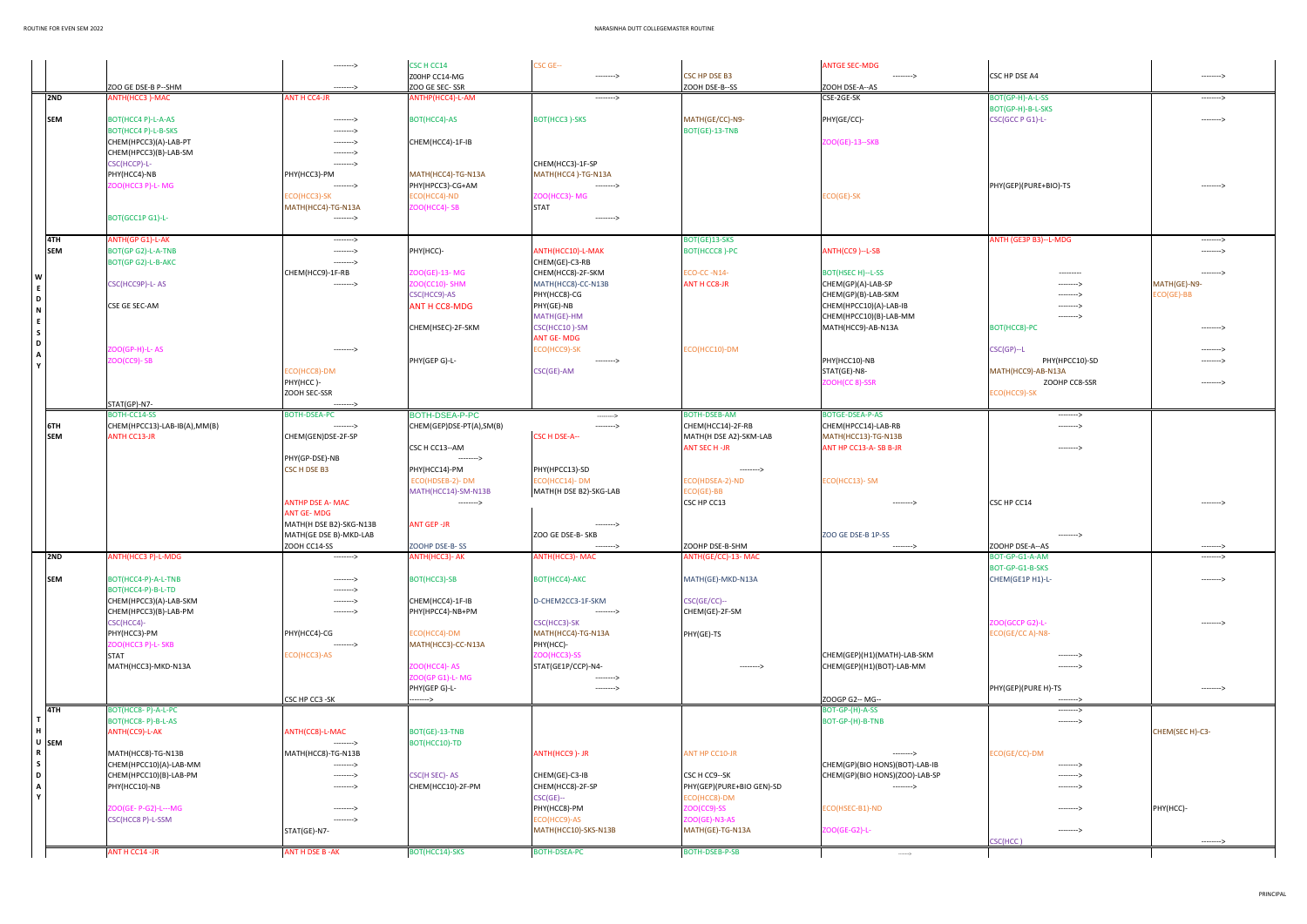|              |                                    | --------->                 | CSC H CC14                         | CSC GE--                        |                           | <b>ANTGE SEC-MDG</b>                                    |                          |                 |
|--------------|------------------------------------|----------------------------|------------------------------------|---------------------------------|---------------------------|---------------------------------------------------------|--------------------------|-----------------|
|              |                                    |                            | Z00HP CC14-MG                      | --------->                      | <b>CSC HP DSE B3</b>      | --------->                                              | CSC HP DSE A4            | --------->      |
|              | ZOO GE DSE-B P--SHM                | --------->                 | ZOO GE SEC-SSR                     |                                 | ZOOH DSE-B--SS            | ZOOH DSE-A--AS                                          |                          |                 |
| 2ND          | ANTH(HCC3)-MAC                     | <b>ANT H CC4-JR</b>        | ANTHP(HCC4)-L-AM                   | $-----&>$                       |                           | CSE-2GE-SK                                              | BOT(GP-H)-A-L-SS         | ---------->     |
|              |                                    |                            |                                    |                                 |                           |                                                         | BOT(GP-H)-B-L-SKS        |                 |
| <b>SEM</b>   | BOT(HCC4 P)-L-A-AS                 | --------->                 | BOT(HCC4)-AS                       | <b>BOT(HCC3)-SKS</b>            | MATH(GE/CC)-N9-           | PHY(GE/CC)-                                             | CSC(GCC P G1)-L-         | --------->      |
|              | BOT(HCC4 P)-L-B-SKS                | --------->                 |                                    |                                 | BOT(GE)-13-TNB            |                                                         |                          |                 |
|              | CHEM(HPCC3)(A)-LAB-PT              | --------->                 | CHEM(HCC4)-1F-IB                   |                                 |                           | ZOO(GE)-13--SKB                                         |                          |                 |
|              | CHEM(HPCC3)(B)-LAB-SM              | --------->                 |                                    |                                 |                           |                                                         |                          |                 |
|              | CSC(HCCP)-L-                       | --------->                 |                                    | CHEM(HCC3)-1F-SP                |                           |                                                         |                          |                 |
|              | PHY(HCC4)-NB                       | PHY(HCC3)-PM               | MATH(HCC4)-TG-N13A                 | MATH(HCC4)-TG-N13A              |                           |                                                         |                          |                 |
|              | ZOO(HCC3 P)-L-MG                   | --------->                 | PHY(HPCC3)-CG+AM                   | --------->                      |                           |                                                         | PHY(GEP)(PURE+BIO)-TS    | --------->      |
|              |                                    | ECO(HCC3)-SK               | ECO(HCC4)-ND                       | <b>200(HCC3)-MG</b>             |                           | ECO(GE)-SK                                              |                          |                 |
|              |                                    | MATH(HCC4)-TG-N13A         | ZOO(HCC4)-SB                       | <b>STAT</b>                     |                           |                                                         |                          |                 |
|              | BOT(GCC1P G1)-L-                   | --------->                 |                                    | --------->                      |                           |                                                         |                          |                 |
|              |                                    |                            |                                    |                                 |                           |                                                         |                          |                 |
| 4TH          | ANTH(GP G1)-L-AK                   | --------->                 |                                    |                                 | BOT(GE)13-SKS             |                                                         | ANTH (GE3P B3)--L-MDG    | --------->      |
| <b>SEM</b>   | BOT(GP G2)-L-A-TNB                 | --------->                 | PHY(HCC)-                          | ANTH(HCC10)-L-MAK               | BOT(HCCC8)-PC             | ANTH(CC9)--L-SB                                         |                          | --------->      |
|              | BOT(GP G2)-L-B-AKC                 | --------->                 |                                    | CHEM(GE)-C3-RB                  |                           |                                                         |                          |                 |
| W            |                                    | CHEM(HCC9)-1F-RB           | ZOO(GE)-13- MG                     | CHEM(HCC8)-2F-SKM               | ECO-CC-N14-               | BOT(HSEC H)--L-SS                                       | ---------                | --------->      |
| E            | CSC(HCC9P)-L-AS                    | --------->                 | <b>ZOO(CC10)- SHM</b>              | MATH(HCC8)-CC-N13B              | <b>ANT H CC8-JR</b>       | CHEM(GP)(A)-LAB-SP                                      | --------->               | MATH(GE)-N9-    |
| D            |                                    |                            | CSC(HCC9)-AS                       | PHY(HCC8)-CG                    |                           | CHEM(GP)(B)-LAB-SKM                                     | --------->               | ECO(GE)-BB      |
| N            | CSE GE SEC-AM                      |                            | <b>ANT H CC8-MDG</b>               | PHY(GE)-NB<br>MATH(GE)-HM       |                           | CHEM(HPCC10)(A)-LAB-IB<br>CHEM(HPCC10)(B)-LAB-MM        | ---------><br>---------> |                 |
| E            |                                    |                            | CHEM(HSEC)-2F-SKM                  | CSC(HCC10)-SM                   |                           | MATH(HCC9)-AB-N13A                                      | BOT(HCC8)-PC             | --------->      |
| $\mathsf{s}$ |                                    |                            |                                    | <b>ANT GE-MDG</b>               |                           |                                                         |                          |                 |
| D            | <b>200(GP-H)-L-AS</b>              | --------->                 |                                    | ECO(HCC9)-SK                    | ECO(HCC10)-DM             |                                                         | $CSC(GP) - L$            | --------->      |
| A            | <b>ZOO(CC9)-SB</b>                 |                            | PHY(GEP G)-L-                      | --------->                      |                           | PHY(HCC10)-NB                                           | PHY(HPCC10)-SD           | --------->      |
| $\mathbf{v}$ |                                    | ECO(HCC8)-DM               |                                    | CSC(GE)-AM                      |                           | STAT(GE)-N8-                                            | MATH(HCC9)-AB-N13A       |                 |
|              |                                    | PHY(HCC)-                  |                                    |                                 |                           | ZOOH(CC 8)-SSR                                          | ZOOHP CC8-SSR            | --------->      |
|              |                                    | ZOOH SEC-SSR               |                                    |                                 |                           |                                                         | ECO(HCC9)-SK             |                 |
|              | STAT(GP)-N7-                       | --------->                 |                                    |                                 |                           |                                                         |                          |                 |
|              | BOTH-CC14-SS                       | <b>BOTH-DSEA-PC</b>        | BOTH-DSEA-P-PC                     | --------->                      | <b>BOTH-DSEB-AM</b>       | <b>BOTGE-DSEA-P-AS</b>                                  | --------->               |                 |
| 6TH          | CHEM(HPCC13)-LAB-IB(A),MM(B)       | --------->                 | CHEM(GEP)DSE-PT(A),SM(B)           | --------->                      | CHEM(HCC14)-2F-RB         | CHEM(HPCC14)-LAB-RB                                     | --------->               |                 |
| <b>SEM</b>   | <b>ANTH CC13-JR</b>                | CHEM(GEN)DSE-2F-SP         |                                    | <b>CSC H DSE-A--</b>            | MATH(H DSE A2)-SKM-LAB    | MATH(HCC13)-TG-N13B                                     |                          |                 |
|              |                                    |                            | CSC H CC13--AM                     |                                 | ANT SEC H -JR             | ANT HP CC13-A-SB B-JR                                   | --------->               |                 |
|              |                                    | PHY(GP-DSE)-NB             | --------->                         |                                 |                           |                                                         |                          |                 |
|              |                                    | CSC H DSE B3               | PHY(HCC14)-PM                      | PHY(HPCC13)-SD                  | --------->                |                                                         |                          |                 |
|              |                                    |                            | ECO(HDSEB-2)-DM                    | ECO(HCC14)-DM                   | ECO(HDSEA-2)-ND           | ECO(HCC13)- SM                                          |                          |                 |
|              |                                    |                            | MATH(HCC14)-SM-N13B                | MATH(H DSE B2)-SKG-LAB          | ECO(GE)-BB                |                                                         |                          |                 |
|              |                                    | <b>ANTHP DSE A- MAC</b>    | --------->                         |                                 | CSC HP CC13               | --------->                                              | CSC HP CC14              | --------->      |
|              |                                    | <b>ANT GE-MDG</b>          |                                    |                                 |                           |                                                         |                          |                 |
|              |                                    | MATH(H DSE B2)-SKG-N13B    | <b>ANT GEP -JR</b>                 | --------->                      |                           |                                                         |                          |                 |
|              |                                    | MATH(GE DSE B)-MKD-LAB     |                                    | ZOO GE DSE-B- SKB               |                           | ZOO GE DSE-B 1P-SS                                      | -------->                |                 |
|              |                                    | ZOOH CC14-SS               | ZOOHP DSE-B-SS                     | --------->                      | ZOOHP DSE-B-SHM           | --------->                                              | ZOOHP DSE-A--AS          |                 |
| 2ND          | ANTH(HCC3 P)-L-MDG                 | --------->                 | ANTH(HCC3)- AK                     | ANTH(HCC3)- MAC                 | ANTH(GE/CC)-13- MAC       |                                                         | BOT-GP-G1-A-AM           | --------->      |
|              |                                    |                            |                                    |                                 |                           |                                                         | BOT-GP-G1-B-SKS          |                 |
| <b>SEM</b>   | BOT(HCC4-P)-A-L-TNB                | --------->                 | BOT(HCC3)-SB                       | BOT(HCC4)-AKC                   | MATH(GE)-MKD-N13A         |                                                         | CHEM(GE1P H1)-L-         | --------->      |
|              | BOT(HCC4-P)-B-L-TD                 | --------->                 |                                    |                                 |                           |                                                         |                          |                 |
|              | CHEM(HPCC3)(A)-LAB-SKM             | --------->                 | CHEM(HCC4)-1F-IB                   | D-CHEM2CC3-1F-SKM               | CSC(GE/CC)--              |                                                         |                          |                 |
|              | CHEM(HPCC3)(B)-LAB-PM              | --------->                 | PHY(HPCC4)-NB+PM                   | --------->                      | CHEM(GE)-2F-SM            |                                                         |                          |                 |
|              | CSC(HCC4)-                         |                            |                                    | CSC(HCC3)-SK                    |                           |                                                         | ZOO(GCCP G2)-L-          | --------->      |
|              | PHY(HCC3)-PM<br>ZOO(HCC3 P)-L- SKB | PHY(HCC4)-CG<br>---------> | ECO(HCC4)-DM<br>MATH(HCC3)-CC-N13A | MATH(HCC4)-TG-N13A<br>PHY(HCC)- | PHY(GE)-TS                |                                                         | ECO(GE/CC A)-N8-         |                 |
|              | <b>STAT</b>                        | ECO(HCC3)-AS               |                                    | <b>ZOO(HCC3)-SS</b>             |                           | CHEM(GEP)(H1)(MATH)-LAB-SKM                             | -------->                |                 |
|              | MATH(HCC3)-MKD-N13A                |                            | <b>ZOO(HCC4)- AS</b>               | STAT(GE1P/CCP)-N4-              | --------->                | CHEM(GEP)(H1)(BOT)-LAB-MM                               | -------->                |                 |
|              |                                    |                            | ZOO(GP G1)-L- MG                   | --------->                      |                           |                                                         |                          |                 |
|              |                                    |                            | PHY(GEP G)-L-                      | --------->                      |                           |                                                         | PHY(GEP)(PURE H)-TS      | ---------->     |
|              |                                    | CSC HP CC3 -SK             | ------>                            |                                 |                           | ZOOGP G2-- MG--                                         | -------->                |                 |
| 4TH          | BOT(HCC8-P)-A-L-PC                 |                            |                                    |                                 |                           | BOT-GP-(H)-A-SS                                         | --------->               |                 |
|              | BOT(HCC8-P)-B-L-AS                 |                            |                                    |                                 |                           | BOT-GP-(H)-B-TNB                                        | --------->               |                 |
|              | ANTH(CC9)-L-AK                     | ANTH(CC8)-L-MAC            | BOT(GE)-13-TNB                     |                                 |                           |                                                         |                          | CHEM(SEC H)-C3- |
| U SEM        |                                    | --------->                 | BOT(HCC10)-TD                      |                                 |                           |                                                         |                          |                 |
|              | MATH(HCC8)-TG-N13B                 | MATH(HCC8)-TG-N13B         |                                    | ANTH(HCC9)-JR                   | ANT HP CC10-JR            | --------->                                              | ECO(GE/CC)-DM            |                 |
| S.           | CHEM(HPCC10)(A)-LAB-MM             | --------->                 |                                    |                                 |                           | CHEM(GP)(BIO HONS)(BOT)-LAB-IB                          | -------->                |                 |
| D            | CHEM(HPCC10)(B)-LAB-PM             | --------->                 | <b>CSC(H SEC)-AS</b>               | CHEM(GE)-C3-IB                  | CSC H CC9--SK             | CHEM(GP)(BIO HONS)(ZOO)-LAB-SP                          | --------->               |                 |
| A            | PHY(HCC10)-NB                      | --------->                 | CHEM(HCC10)-2F-PM                  | CHEM(HCC8)-2F-SP                | PHY(GEP)(PURE+BIO GEN)-SD | --------->                                              | -------->                |                 |
| $\mathbf{v}$ |                                    |                            |                                    | $CSC(GE)$ --                    | ECO(HCC8)-DM              |                                                         |                          |                 |
|              | ZOO(GE- P-G2)-L---MG               | --------->                 |                                    | PHY(HCC8)-PM                    | $ZOO(CC9)-SS$             | ECO(HSEC-B1)-ND                                         | --------->               | PHY(HCC)-       |
|              | CSC(HCC8 P)-L-SSM                  | --------->                 |                                    | ECO(HCC9)-AS                    | ZOO(GE)-N3-AS             |                                                         |                          |                 |
|              |                                    | STAT(GE)-N7-               |                                    | MATH(HCC10)-SKS-N13B            | MATH(GE)-TG-N13A          | ZOO(GE-G2)-L-                                           | --------->               |                 |
|              |                                    |                            |                                    |                                 |                           |                                                         | CSC(HCC)                 | --------->      |
|              | ANT H CC14 -JR                     | ANT H DSE B - AK           | BOT(HCC14)-SKS                     | BOTH-DSEA-PC                    | BOTH-DSEB-P-SB            | $\hspace{0.1em}\rule{0.7pt}{0.1em}\hspace{0.1em}\cdots$ |                          |                 |

| CSC HP DSE A4                       |                          | --------->               |
|-------------------------------------|--------------------------|--------------------------|
|                                     |                          |                          |
| BOT(GP-H)-A-L-SS                    |                          | --------->               |
| BOT(GP-H)-B-L-SKS                   |                          |                          |
| CSC(GCC P G1)-L-                    |                          | --------->               |
|                                     |                          |                          |
|                                     |                          |                          |
|                                     |                          |                          |
|                                     |                          |                          |
| PHY(GEP)(PURE+BIO)-TS               |                          | --------->               |
|                                     |                          |                          |
|                                     |                          |                          |
|                                     |                          |                          |
| ANTH (GE3P B3)--L-MDG               |                          | --------->               |
|                                     |                          | -------->                |
|                                     |                          | --------->               |
|                                     | ---------<br>--------->  | MATH(GE)-N9-             |
|                                     | --------->               | ECO(GE)-BB               |
|                                     | --------->               |                          |
|                                     | --------->               |                          |
| BOT(HCC8)-PC                        |                          | --------->               |
|                                     |                          |                          |
| $CSC(GP) - L$                       | PHY(HPCC10)-SD           | --------><br>--------->  |
| MATH(HCC9)-AB-N13A                  |                          |                          |
|                                     | ZOOHP CC8-SSR            | --------->               |
| ECO(HCC9)-SK                        |                          |                          |
|                                     |                          |                          |
|                                     | ---------><br>---------> |                          |
|                                     |                          |                          |
|                                     | --------->               |                          |
|                                     |                          |                          |
|                                     |                          |                          |
|                                     |                          |                          |
| CSC HP CC14                         |                          | --------->               |
|                                     |                          |                          |
|                                     |                          |                          |
|                                     | --------->               |                          |
| ZOOHP DSE-A--AS<br>BOT-GP-G1-A-AM   |                          | ---------><br>---------> |
| BOT-GP-G1-B-SKS                     |                          |                          |
| CHEM(GE1P H1)-L-                    |                          | --------->               |
|                                     |                          |                          |
|                                     |                          |                          |
|                                     |                          |                          |
| ZOO(GCCP G2)-L-<br>ECO(GE/CC A)-N8- |                          | --------->               |
|                                     |                          |                          |
|                                     | -------->                |                          |
|                                     | --------->               |                          |
|                                     |                          |                          |
| PHY(GEP)(PURE H)-TS                 |                          | --------->               |
|                                     | -------->                |                          |
|                                     | --------->               |                          |
|                                     |                          | CHEM(SEC H)-C3-          |
|                                     |                          |                          |
| ECO(GE/CC)-DM                       |                          |                          |
|                                     | ---------><br>---------> |                          |
|                                     | --------->               |                          |
|                                     |                          |                          |
|                                     | -------->                | PHY(HCC)-                |
|                                     |                          |                          |
|                                     | -------->                |                          |
| CSC(HCC)                            |                          | --------->               |
|                                     |                          |                          |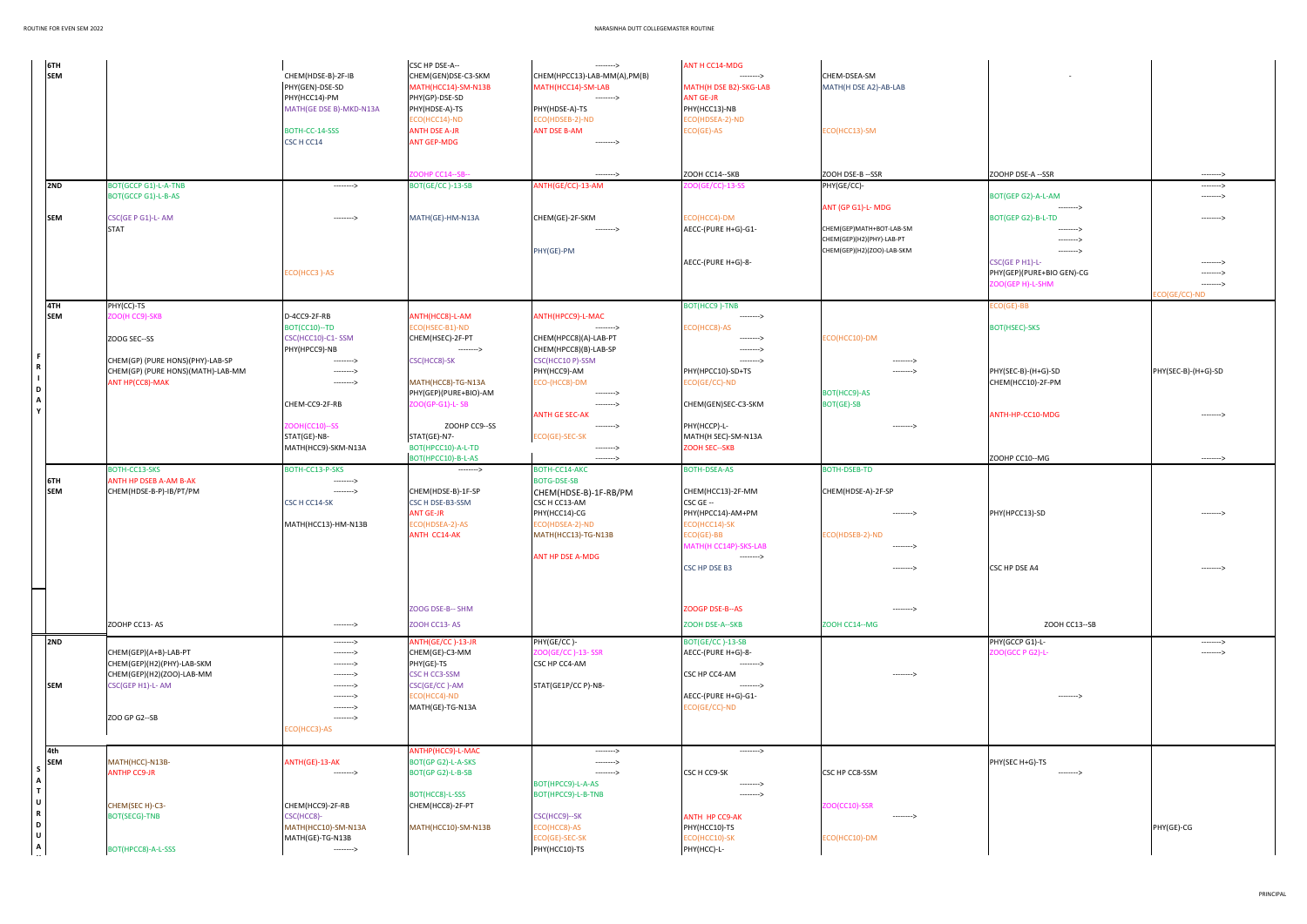| ZOOHP DSE-A --SSR                | ---------><br>---------> |
|----------------------------------|--------------------------|
| BOT(GEP G2)-A-L-AM<br>---------> | --------->               |
| BOT(GEP G2)-B-L-TD<br>-------->  | --------->               |
| ---------><br>--------->         |                          |
| CSC(GE P H1)-L-                  | --------->               |
| PHY(GEP)(PURE+BIO GEN)-CG        | -------->                |
| ZOO(GEP H)-L-SHM                 | --------->               |
|                                  | ECO(GE/CC)-ND            |
| $ECO(GE)$ -BB                    |                          |
| <b>BOT(HSEC)-SKS</b>             |                          |
| PHY(SEC-B)-(H+G)-SD              | PHY(SEC-B)-(H+G)-SD      |
| CHEM(HCC10)-2F-PM                |                          |
| ANTH-HP-CC10-MDG                 | --------->               |
|                                  |                          |
| ZOOHP CC10--MG                   | --------->               |
|                                  |                          |
|                                  |                          |
| PHY(HPCC13)-SD                   | --------->               |
|                                  |                          |
| CSC HP DSE A4                    | --------->               |
|                                  |                          |
| ZOOH CC13--SB                    |                          |
| PHY(GCCP G1)-L-                  | --------->               |
| ZOO(GCC P G2)-L-                 | -------->                |
| -------->                        |                          |
|                                  |                          |
|                                  |                          |
| PHY(SEC H+G)-TS                  |                          |
| ------>                          |                          |
|                                  |                          |
|                                  | PHY(GE)-CG               |
|                                  |                          |

| 6TH<br><b>SEM</b> |                                         | CHEM(HDSE-B)-2F-IB<br>PHY(GEN)-DSE-SD<br>PHY(HCC14)-PM<br>MATH(GE DSE B)-MKD-N13A<br>BOTH-CC-14-SSS | CSC HP DSE-A--<br>CHEM(GEN)DSE-C3-SKM<br>MATH(HCC14)-SM-N13B<br>PHY(GP)-DSE-SD<br>PHY(HDSE-A)-TS<br>ECO(HCC14)-ND<br><b>ANTH DSE A-JR</b> | ---------><br>CHEM(HPCC13)-LAB-MM(A),PM(B)<br>MATH(HCC14)-SM-LAB<br>---------><br>PHY(HDSE-A)-TS<br>ECO(HDSEB-2)-ND<br><b>ANT DSE B-AM</b> | <b>ANT H CC14-MDG</b><br>--------><br>MATH(H DSE B2)-SKG-LAB<br><b>ANT GE-JR</b><br>PHY(HCC13)-NB<br>ECO(HDSEA-2)-ND<br>$ECO(GE)-AS$ | CHEM-DSEA-SM<br>MATH(H DSE A2)-AB-LAB<br>ECO(HCC13)-SM  |                                     |                            |
|-------------------|-----------------------------------------|-----------------------------------------------------------------------------------------------------|-------------------------------------------------------------------------------------------------------------------------------------------|--------------------------------------------------------------------------------------------------------------------------------------------|--------------------------------------------------------------------------------------------------------------------------------------|---------------------------------------------------------|-------------------------------------|----------------------------|
|                   |                                         | CSC H CC14                                                                                          | <b>ANT GEP-MDG</b><br>OOHP CC14--SB--                                                                                                     | --------><br>--------->                                                                                                                    | ZOOH CC14 -- SKB                                                                                                                     |                                                         | ZOOHP DSE-A --SSR                   |                            |
| 2ND               | <b>BOT(GCCP G1)-L-A-TNB</b>             | --------->                                                                                          | BOT(GE/CC)-13-SB                                                                                                                          | ANTH(GE/CC)-13-AM                                                                                                                          | OO(GE/CC)-13-SS                                                                                                                      | ZOOH DSE-B --SSR<br>PHY(GE/CC)-                         |                                     | ---------><br>--------->   |
|                   | BOT(GCCP G1)-L-B-AS                     |                                                                                                     |                                                                                                                                           |                                                                                                                                            |                                                                                                                                      | ANT (GP G1)-L-MDG                                       | BOT(GEP G2)-A-L-AM<br>--------->    | --------->                 |
| <b>SEM</b>        | CSC(GE P G1)-L-AM                       | --------->                                                                                          | MATH(GE)-HM-N13A                                                                                                                          | CHEM(GE)-2F-SKM                                                                                                                            | ECO(HCC4)-DM                                                                                                                         |                                                         | BOT(GEP G2)-B-L-TD                  | ---------->                |
|                   | <b>STAT</b>                             |                                                                                                     |                                                                                                                                           | -------->                                                                                                                                  | AECC-(PURE H+G)-G1-                                                                                                                  | CHEM(GEP)MATH+BOT-LAB-SM                                | -------->                           |                            |
|                   |                                         |                                                                                                     |                                                                                                                                           | PHY(GE)-PM                                                                                                                                 |                                                                                                                                      | CHEM(GEP)(H2)(PHY)-LAB-PT<br>CHEM(GEP)(H2)(ZOO)-LAB-SKM | ---------><br>--------->            |                            |
|                   |                                         |                                                                                                     |                                                                                                                                           |                                                                                                                                            | AECC-(PURE H+G)-8-                                                                                                                   |                                                         | CSC(GE P H1)-L-                     | --------->                 |
|                   |                                         | ECO(HCC3)-AS                                                                                        |                                                                                                                                           |                                                                                                                                            |                                                                                                                                      |                                                         | PHY(GEP)(PURE+BIO GEN)-CG           | ---------->                |
|                   |                                         |                                                                                                     |                                                                                                                                           |                                                                                                                                            |                                                                                                                                      |                                                         | ZOO(GEP H)-L-SHM                    | ---------><br>CO(GE/CC)-ND |
| 4TH               | PHY(CC)-TS                              |                                                                                                     |                                                                                                                                           |                                                                                                                                            | BOT(HCC9)-TNB                                                                                                                        |                                                         | ECO(GE)-BB                          |                            |
| <b>SEM</b>        | ZOO(H CC9)-SKB                          | D-4CC9-2F-RB                                                                                        | ANTH(HCC8)-L-AM                                                                                                                           | ANTH(HPCC9)-L-MAC                                                                                                                          | -------->                                                                                                                            |                                                         |                                     |                            |
|                   | ZOOG SEC--SS                            | BOT(CC10)--TD<br>CSC(HCC10)-C1-SSM                                                                  | ECO(HSEC-B1)-ND<br>CHEM(HSEC)-2F-PT                                                                                                       | ---------><br>CHEM(HPCC8)(A)-LAB-PT                                                                                                        | ECO(HCC8)-AS<br>--------->                                                                                                           | ECO(HCC10)-DM                                           | <b>BOT(HSEC)-SKS</b>                |                            |
|                   |                                         | PHY(HPCC9)-NB                                                                                       | --------->                                                                                                                                | CHEM(HPCC8)(B)-LAB-SP                                                                                                                      | -------->                                                                                                                            |                                                         |                                     |                            |
|                   | CHEM(GP) (PURE HONS)(PHY)-LAB-SP        | --------->                                                                                          | CSC(HCC8)-SK                                                                                                                              | CSC(HCC10 P)-SSM                                                                                                                           | --------->                                                                                                                           | --------->                                              |                                     |                            |
|                   | CHEM(GP) (PURE HONS)(MATH)-LAB-MM       | --------->                                                                                          |                                                                                                                                           | PHY(HCC9)-AM                                                                                                                               | PHY(HPCC10)-SD+TS                                                                                                                    | --------->                                              | PHY(SEC-B)-(H+G)-SD                 | PHY(SEC-B)-(H+G)-SD        |
| D                 | ANT HP(CC8)-MAK                         | --------->                                                                                          | MATH(HCC8)-TG-N13A<br>PHY(GEP)(PURE+BIO)-AM                                                                                               | ECO-(HCC8)-DM<br>--------->                                                                                                                | ECO(GE/CC)-ND                                                                                                                        | BOT(HCC9)-AS                                            | CHEM(HCC10)-2F-PM                   |                            |
| Α                 |                                         | CHEM-CC9-2F-RB                                                                                      | ZOO(GP-G1)-L-SB                                                                                                                           | --------->                                                                                                                                 | CHEM(GEN)SEC-C3-SKM                                                                                                                  | <b>BOT(GE)-SB</b>                                       |                                     |                            |
|                   |                                         |                                                                                                     |                                                                                                                                           | <b>ANTH GE SEC-AK</b>                                                                                                                      |                                                                                                                                      |                                                         | ANTH-HP-CC10-MDG                    | --------->                 |
|                   |                                         | <b>ZOOH(CC10)--SS</b><br>STAT(GE)-N8-                                                               | ZOOHP CC9--SS<br>STAT(GE)-N7-                                                                                                             | ---------><br>ECO(GE)-SEC-SK                                                                                                               | PHY(HCCP)-L-<br>MATH(H SEC)-SM-N13A                                                                                                  | --------->                                              |                                     |                            |
|                   |                                         | MATH(HCC9)-SKM-N13A                                                                                 | BOT(HPCC10)-A-L-TD                                                                                                                        | -------->                                                                                                                                  | <b>ZOOH SEC--SKB</b>                                                                                                                 |                                                         |                                     |                            |
|                   |                                         |                                                                                                     | BOT(HPCC10)-B-L-AS                                                                                                                        | --------->                                                                                                                                 |                                                                                                                                      |                                                         | ZOOHP CC10--MG                      | ---------->                |
|                   | BOTH-CC13-SKS<br>ANTH HP DSEB A-AM B-AK | BOTH-CC13-P-SKS                                                                                     | --------->                                                                                                                                | BOTH-CC14-AKC<br><b>BOTG-DSE-SB</b>                                                                                                        | <b>BOTH-DSEA-AS</b>                                                                                                                  | <b>BOTH-DSEB-TD</b>                                     |                                     |                            |
| 6TH<br><b>SEM</b> | CHEM(HDSE-B-P)-IB/PT/PM                 | ---------><br>--------->                                                                            | CHEM(HDSE-B)-1F-SP                                                                                                                        | CHEM(HDSE-B)-1F-RB/PM                                                                                                                      | CHEM(HCC13)-2F-MM                                                                                                                    | CHEM(HDSE-A)-2F-SP                                      |                                     |                            |
|                   |                                         | CSC H CC14-SK                                                                                       | CSC H DSE-B3-SSM                                                                                                                          | CSC H CC13-AM                                                                                                                              | CSC GE --                                                                                                                            |                                                         |                                     |                            |
|                   |                                         |                                                                                                     | <b>ANT GE-JR</b>                                                                                                                          | PHY(HCC14)-CG                                                                                                                              | PHY(HPCC14)-AM+PM                                                                                                                    | --------->                                              | PHY(HPCC13)-SD                      |                            |
|                   |                                         | MATH(HCC13)-HM-N13B                                                                                 | ECO(HDSEA-2)-AS<br>ANTH CC14-AK                                                                                                           | ECO(HDSEA-2)-ND<br>MATH(HCC13)-TG-N13B                                                                                                     | ECO(HCC14)-SK<br>$ECO(GE)$ -BB                                                                                                       | ECO(HDSEB-2)-ND                                         |                                     |                            |
|                   |                                         |                                                                                                     |                                                                                                                                           |                                                                                                                                            | MATH(H CC14P)-SKS-LAB                                                                                                                |                                                         |                                     |                            |
|                   |                                         |                                                                                                     |                                                                                                                                           | <b>ANT HP DSE A-MDG</b>                                                                                                                    | --------->                                                                                                                           |                                                         |                                     |                            |
|                   |                                         |                                                                                                     |                                                                                                                                           |                                                                                                                                            | CSC HP DSE B3                                                                                                                        | --------->                                              | CSC HP DSE A4                       | --------->                 |
|                   |                                         |                                                                                                     |                                                                                                                                           |                                                                                                                                            |                                                                                                                                      |                                                         |                                     |                            |
|                   |                                         |                                                                                                     |                                                                                                                                           |                                                                                                                                            |                                                                                                                                      |                                                         |                                     |                            |
|                   |                                         |                                                                                                     | ZOOG DSE-B-- SHM                                                                                                                          |                                                                                                                                            | ZOOGP DSE-B--AS                                                                                                                      | --------->                                              |                                     |                            |
|                   | ZOOHP CC13-AS                           | --------->                                                                                          | ZOOH CC13-AS                                                                                                                              |                                                                                                                                            | ZOOH DSE-A--SKB                                                                                                                      | ZOOH CC14 -- MG                                         | ZOOH CC13--SB                       |                            |
| 2ND               | CHEM(GEP)(A+B)-LAB-PT                   | ---------><br>--------->                                                                            | ANTH(GE/CC)-13-JR<br>CHEM(GE)-C3-MM                                                                                                       | PHY(GE/CC)-<br>ZOO(GE/CC)-13-SSR                                                                                                           | BOT(GE/CC)-13-SB<br>AECC-(PURE H+G)-8-                                                                                               |                                                         | PHY(GCCP G1)-L-<br>ZOO(GCC P G2)-L- | ---------><br>--------->   |
|                   | CHEM(GEP)(H2)(PHY)-LAB-SKM              | --------->                                                                                          | PHY(GE)-TS                                                                                                                                | CSC HP CC4-AM                                                                                                                              | -------->                                                                                                                            |                                                         |                                     |                            |
|                   | CHEM(GEP)(H2)(ZOO)-LAB-MM               | --------->                                                                                          | CSC H CC3-SSM                                                                                                                             |                                                                                                                                            | CSC HP CC4-AM                                                                                                                        | --------->                                              |                                     |                            |
| <b>SEM</b>        | CSC(GEP H1)-L-AM                        | -------->                                                                                           | CSC(GE/CC)-AM                                                                                                                             | STAT(GE1P/CC P)-N8-                                                                                                                        | -------->                                                                                                                            |                                                         |                                     |                            |
|                   |                                         | ---------><br>--------->                                                                            | ECO(HCC4)-ND<br>MATH(GE)-TG-N13A                                                                                                          |                                                                                                                                            | AECC-(PURE H+G)-G1-<br>ECO(GE/CC)-ND                                                                                                 |                                                         | --------->                          |                            |
|                   | ZOO GP G2--SB                           | --------->                                                                                          |                                                                                                                                           |                                                                                                                                            |                                                                                                                                      |                                                         |                                     |                            |
|                   |                                         | ECO(HCC3)-AS                                                                                        |                                                                                                                                           |                                                                                                                                            |                                                                                                                                      |                                                         |                                     |                            |
| 4th               |                                         |                                                                                                     | ANTHP(HCC9)-L-MAC                                                                                                                         | --------->                                                                                                                                 | -------->                                                                                                                            |                                                         |                                     |                            |
| <b>SEM</b>        | MATH(HCC)-N13B-                         | ANTH(GE)-13-AK                                                                                      | BOT(GP G2)-L-A-SKS                                                                                                                        | --------->                                                                                                                                 |                                                                                                                                      |                                                         | PHY(SEC H+G)-TS                     |                            |
| s                 | <b>ANTHP CC9-JR</b>                     | --------->                                                                                          | BOT(GP G2)-L-B-SB                                                                                                                         | --------->                                                                                                                                 | CSC H CC9-SK                                                                                                                         | CSC HP CC8-SSM                                          | --------->                          |                            |
|                   |                                         |                                                                                                     |                                                                                                                                           | BOT(HPCC9)-L-A-AS                                                                                                                          | -------->                                                                                                                            |                                                         |                                     |                            |
| U                 | CHEM(SEC H)-C3-                         | CHEM(HCC9)-2F-RB                                                                                    | BOT(HCC8)-L-SSS<br>CHEM(HCC8)-2F-PT                                                                                                       | BOT(HPCC9)-L-B-TNB                                                                                                                         | --------->                                                                                                                           | ZOO(CC10)-SSR                                           |                                     |                            |
| $\mathbf R$       | <b>BOT(SECG)-TNB</b>                    | CSC(HCC8)-                                                                                          |                                                                                                                                           | CSC(HCC9)--SK                                                                                                                              | ANTH HP CC9-AK                                                                                                                       | --------->                                              |                                     |                            |
| D                 |                                         | MATH(HCC10)-SM-N13A                                                                                 | MATH(HCC10)-SM-N13B                                                                                                                       | ECO(HCC8)-AS                                                                                                                               | PHY(HCC10)-TS                                                                                                                        |                                                         |                                     | PHY(GE)-CG                 |
| U                 |                                         | MATH(GE)-TG-N13B                                                                                    |                                                                                                                                           | ECO(GE)-SEC-SK                                                                                                                             | ECO(HCC10)-SK                                                                                                                        | ECO(HCC10)-DM                                           |                                     |                            |
|                   | BOT(HPCC8)-A-L-SSS                      | --------->                                                                                          |                                                                                                                                           | PHY(HCC10)-TS                                                                                                                              | PHY(HCC)-L-                                                                                                                          |                                                         |                                     |                            |